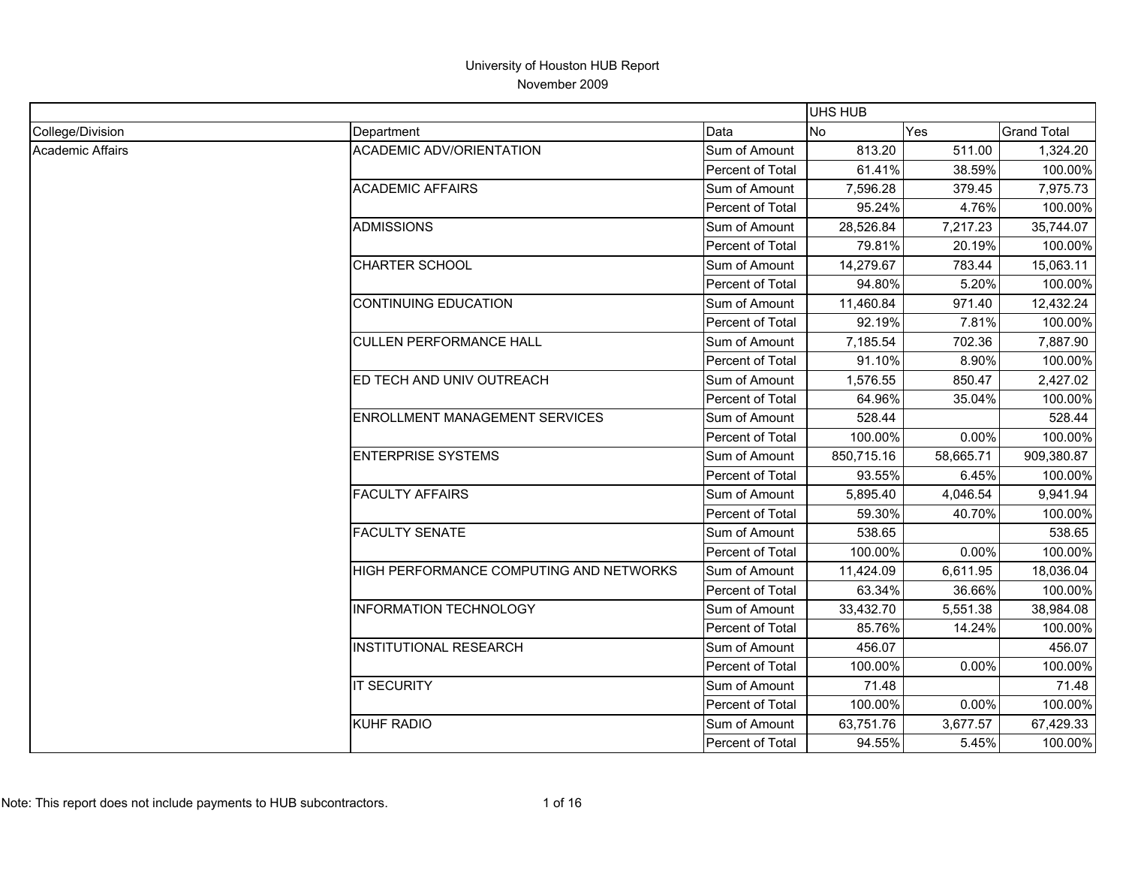|                  |                                         |                  |                | <b>UHS HUB</b> |                    |  |  |
|------------------|-----------------------------------------|------------------|----------------|----------------|--------------------|--|--|
| College/Division | Department                              | Data             | N <sub>o</sub> | Yes            | <b>Grand Total</b> |  |  |
| Academic Affairs | <b>ACADEMIC ADV/ORIENTATION</b>         | Sum of Amount    | 813.20         | 511.00         | 1,324.20           |  |  |
|                  |                                         | Percent of Total | 61.41%         | 38.59%         | 100.00%            |  |  |
|                  | <b>ACADEMIC AFFAIRS</b>                 | Sum of Amount    | 7,596.28       | 379.45         | 7,975.73           |  |  |
|                  |                                         | Percent of Total | 95.24%         | 4.76%          | 100.00%            |  |  |
|                  | <b>ADMISSIONS</b>                       | Sum of Amount    | 28,526.84      | 7,217.23       | 35,744.07          |  |  |
|                  |                                         | Percent of Total | 79.81%         | 20.19%         | 100.00%            |  |  |
|                  | <b>CHARTER SCHOOL</b>                   | Sum of Amount    | 14,279.67      | 783.44         | 15,063.11          |  |  |
|                  |                                         | Percent of Total | 94.80%         | 5.20%          | 100.00%            |  |  |
|                  | <b>CONTINUING EDUCATION</b>             | Sum of Amount    | 11,460.84      | 971.40         | 12,432.24          |  |  |
|                  |                                         | Percent of Total | 92.19%         | 7.81%          | 100.00%            |  |  |
|                  | <b>CULLEN PERFORMANCE HALL</b>          | Sum of Amount    | 7,185.54       | 702.36         | 7,887.90           |  |  |
|                  |                                         | Percent of Total | 91.10%         | 8.90%          | 100.00%            |  |  |
|                  | ED TECH AND UNIV OUTREACH               | Sum of Amount    | 1,576.55       | 850.47         | 2,427.02           |  |  |
|                  |                                         | Percent of Total | 64.96%         | 35.04%         | 100.00%            |  |  |
|                  | <b>ENROLLMENT MANAGEMENT SERVICES</b>   | Sum of Amount    | 528.44         |                | 528.44             |  |  |
|                  |                                         | Percent of Total | 100.00%        | 0.00%          | 100.00%            |  |  |
|                  | <b>ENTERPRISE SYSTEMS</b>               | Sum of Amount    | 850,715.16     | 58,665.71      | 909,380.87         |  |  |
|                  |                                         | Percent of Total | 93.55%         | 6.45%          | 100.00%            |  |  |
|                  | <b>FACULTY AFFAIRS</b>                  | Sum of Amount    | 5,895.40       | 4,046.54       | 9,941.94           |  |  |
|                  |                                         | Percent of Total | 59.30%         | 40.70%         | 100.00%            |  |  |
|                  | <b>FACULTY SENATE</b>                   | Sum of Amount    | 538.65         |                | 538.65             |  |  |
|                  |                                         | Percent of Total | 100.00%        | 0.00%          | 100.00%            |  |  |
|                  | HIGH PERFORMANCE COMPUTING AND NETWORKS | Sum of Amount    | 11,424.09      | 6,611.95       | 18,036.04          |  |  |
|                  |                                         | Percent of Total | 63.34%         | 36.66%         | 100.00%            |  |  |
|                  | <b>INFORMATION TECHNOLOGY</b>           | Sum of Amount    | 33,432.70      | 5,551.38       | 38,984.08          |  |  |
|                  |                                         | Percent of Total | 85.76%         | 14.24%         | 100.00%            |  |  |
|                  | <b>INSTITUTIONAL RESEARCH</b>           | Sum of Amount    | 456.07         |                | 456.07             |  |  |
|                  |                                         | Percent of Total | 100.00%        | 0.00%          | 100.00%            |  |  |
|                  | <b>IT SECURITY</b>                      | Sum of Amount    | 71.48          |                | 71.48              |  |  |
|                  |                                         | Percent of Total | 100.00%        | 0.00%          | 100.00%            |  |  |
|                  | <b>KUHF RADIO</b>                       | Sum of Amount    | 63,751.76      | 3,677.57       | 67,429.33          |  |  |
|                  |                                         | Percent of Total | 94.55%         | 5.45%          | 100.00%            |  |  |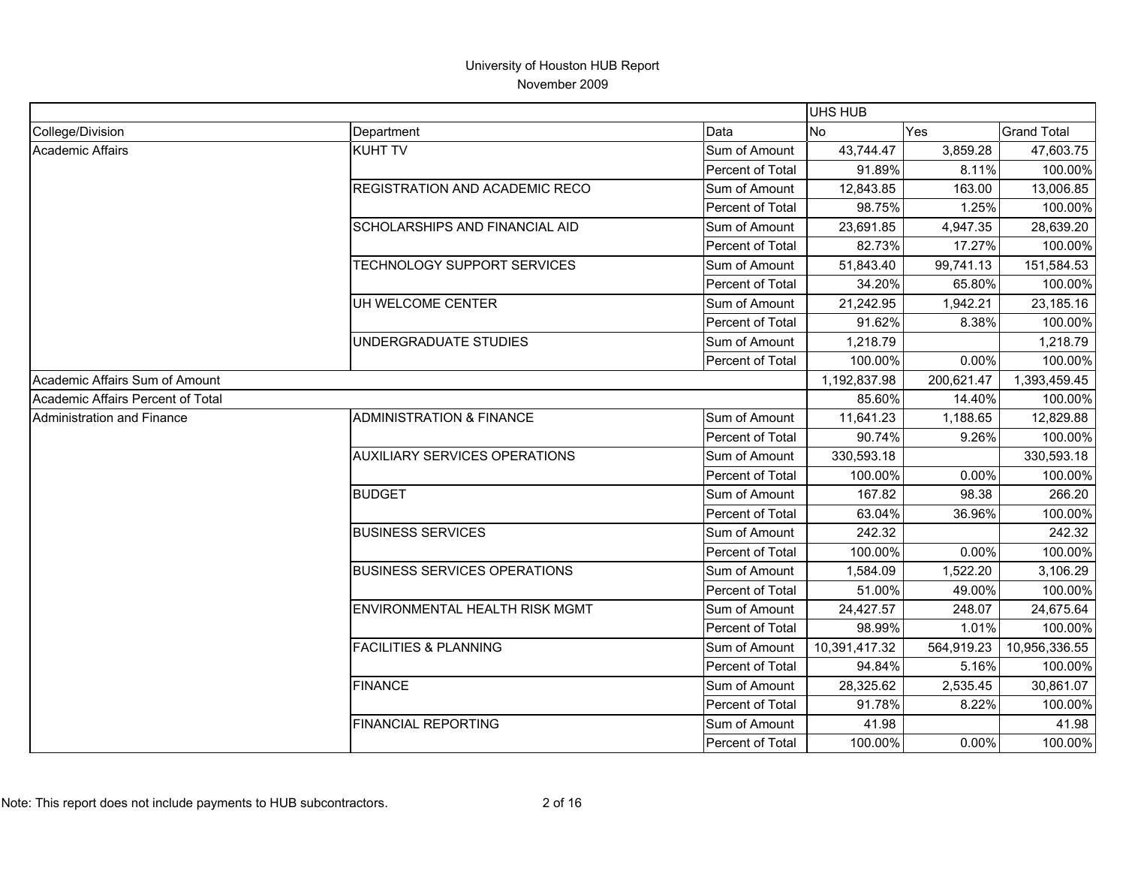|                                   |                                       |                  | UHS HUB       |            |                    |
|-----------------------------------|---------------------------------------|------------------|---------------|------------|--------------------|
| College/Division                  | Department                            | Data             | No.           | Yes        | <b>Grand Total</b> |
| Academic Affairs                  | <b>KUHT TV</b>                        | Sum of Amount    | 43,744.47     | 3,859.28   | 47,603.75          |
|                                   |                                       | Percent of Total | 91.89%        | 8.11%      | 100.00%            |
|                                   | <b>REGISTRATION AND ACADEMIC RECO</b> | Sum of Amount    | 12,843.85     | 163.00     | 13,006.85          |
|                                   |                                       | Percent of Total | 98.75%        | 1.25%      | 100.00%            |
|                                   | SCHOLARSHIPS AND FINANCIAL AID        | Sum of Amount    | 23,691.85     | 4,947.35   | 28,639.20          |
|                                   |                                       | Percent of Total | 82.73%        | 17.27%     | 100.00%            |
|                                   | TECHNOLOGY SUPPORT SERVICES           | Sum of Amount    | 51,843.40     | 99,741.13  | 151,584.53         |
|                                   |                                       | Percent of Total | 34.20%        | 65.80%     | 100.00%            |
|                                   | UH WELCOME CENTER                     | Sum of Amount    | 21,242.95     | 1,942.21   | 23,185.16          |
|                                   |                                       | Percent of Total | 91.62%        | 8.38%      | 100.00%            |
|                                   | UNDERGRADUATE STUDIES                 | Sum of Amount    | 1,218.79      |            | 1,218.79           |
|                                   |                                       | Percent of Total | 100.00%       | 0.00%      | 100.00%            |
| Academic Affairs Sum of Amount    |                                       |                  | 1,192,837.98  | 200,621.47 | 1,393,459.45       |
| Academic Affairs Percent of Total |                                       |                  | 85.60%        | 14.40%     | 100.00%            |
| <b>Administration and Finance</b> | <b>ADMINISTRATION &amp; FINANCE</b>   | Sum of Amount    | 11,641.23     | 1,188.65   | 12,829.88          |
|                                   |                                       | Percent of Total | 90.74%        | 9.26%      | 100.00%            |
|                                   | <b>AUXILIARY SERVICES OPERATIONS</b>  | Sum of Amount    | 330,593.18    |            | 330,593.18         |
|                                   |                                       | Percent of Total | 100.00%       | 0.00%      | 100.00%            |
|                                   | <b>BUDGET</b>                         | Sum of Amount    | 167.82        | 98.38      | 266.20             |
|                                   |                                       | Percent of Total | 63.04%        | 36.96%     | 100.00%            |
|                                   | <b>BUSINESS SERVICES</b>              | Sum of Amount    | 242.32        |            | 242.32             |
|                                   |                                       | Percent of Total | 100.00%       | 0.00%      | 100.00%            |
|                                   | <b>BUSINESS SERVICES OPERATIONS</b>   | Sum of Amount    | 1,584.09      | 1,522.20   | 3,106.29           |
|                                   |                                       | Percent of Total | 51.00%        | 49.00%     | 100.00%            |
|                                   | ENVIRONMENTAL HEALTH RISK MGMT        | Sum of Amount    | 24,427.57     | 248.07     | 24,675.64          |
|                                   |                                       | Percent of Total | 98.99%        | 1.01%      | 100.00%            |
|                                   | <b>FACILITIES &amp; PLANNING</b>      | Sum of Amount    | 10,391,417.32 | 564,919.23 | 10,956,336.55      |
|                                   |                                       | Percent of Total | 94.84%        | 5.16%      | 100.00%            |
|                                   | <b>FINANCE</b>                        | Sum of Amount    | 28,325.62     | 2,535.45   | 30,861.07          |
|                                   |                                       | Percent of Total | 91.78%        | 8.22%      | 100.00%            |
|                                   | <b>FINANCIAL REPORTING</b>            | Sum of Amount    | 41.98         |            | 41.98              |
|                                   |                                       | Percent of Total | 100.00%       | 0.00%      | 100.00%            |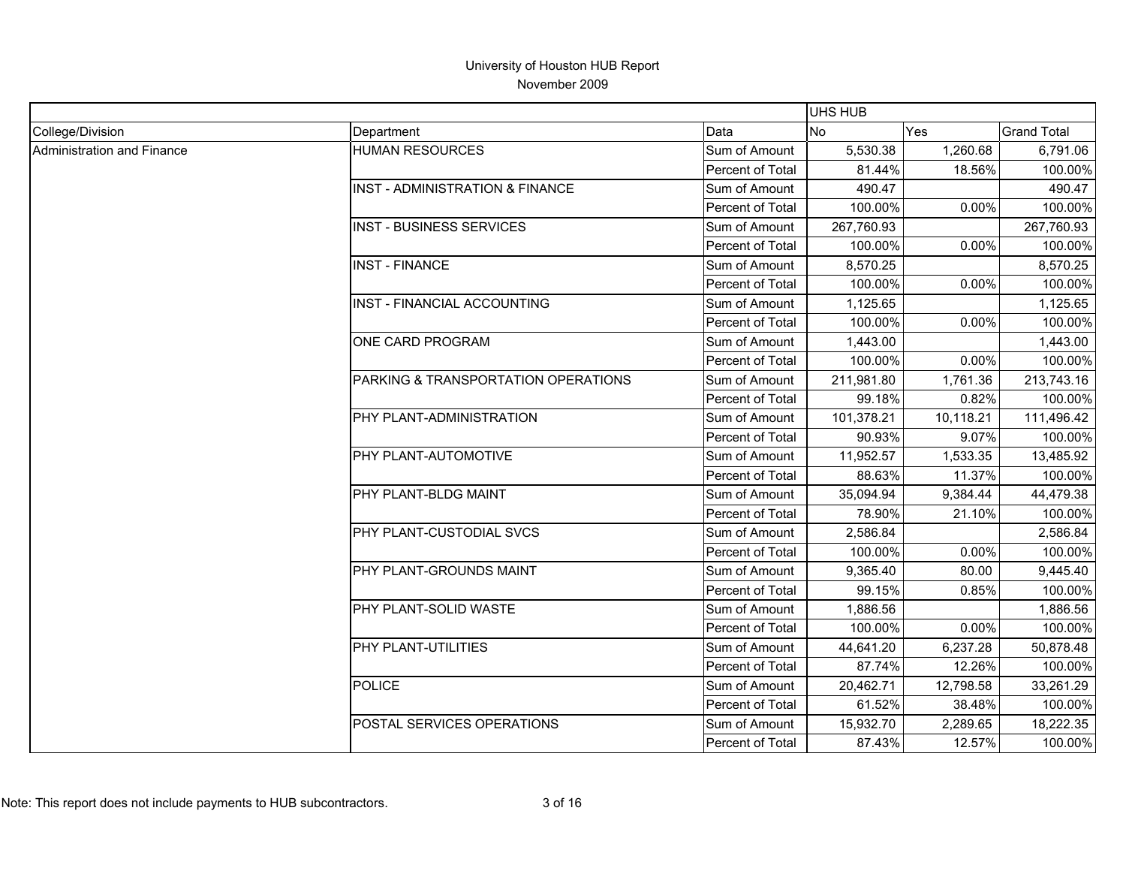|                            |                                                |                  | <b>UHS HUB</b> |           |                    |
|----------------------------|------------------------------------------------|------------------|----------------|-----------|--------------------|
| College/Division           | Department                                     | Data             | <b>No</b>      | Yes       | <b>Grand Total</b> |
| Administration and Finance | <b>HUMAN RESOURCES</b>                         | Sum of Amount    | 5,530.38       | 1,260.68  | 6,791.06           |
|                            |                                                | Percent of Total | 81.44%         | 18.56%    | 100.00%            |
|                            | <b>IINST - ADMINISTRATION &amp; FINANCE</b>    | Sum of Amount    | 490.47         |           | 490.47             |
|                            |                                                | Percent of Total | 100.00%        | 0.00%     | 100.00%            |
|                            | <b>INST - BUSINESS SERVICES</b>                | Sum of Amount    | 267,760.93     |           | 267,760.93         |
|                            |                                                | Percent of Total | 100.00%        | 0.00%     | 100.00%            |
|                            | <b>INST - FINANCE</b>                          | Sum of Amount    | 8,570.25       |           | 8,570.25           |
|                            |                                                | Percent of Total | 100.00%        | 0.00%     | 100.00%            |
|                            | <b>INST - FINANCIAL ACCOUNTING</b>             | Sum of Amount    | 1,125.65       |           | 1,125.65           |
|                            |                                                | Percent of Total | 100.00%        | 0.00%     | 100.00%            |
|                            | ONE CARD PROGRAM                               | Sum of Amount    | 1,443.00       |           | 1,443.00           |
|                            |                                                | Percent of Total | 100.00%        | 0.00%     | 100.00%            |
|                            | <b>PARKING &amp; TRANSPORTATION OPERATIONS</b> | Sum of Amount    | 211,981.80     | 1,761.36  | 213,743.16         |
|                            |                                                | Percent of Total | 99.18%         | 0.82%     | 100.00%            |
|                            | PHY PLANT-ADMINISTRATION                       | Sum of Amount    | 101,378.21     | 10,118.21 | 111,496.42         |
|                            |                                                | Percent of Total | 90.93%         | 9.07%     | 100.00%            |
|                            | PHY PLANT-AUTOMOTIVE                           | Sum of Amount    | 11,952.57      | 1,533.35  | 13,485.92          |
|                            |                                                | Percent of Total | 88.63%         | 11.37%    | 100.00%            |
|                            | PHY PLANT-BLDG MAINT                           | Sum of Amount    | 35,094.94      | 9,384.44  | 44,479.38          |
|                            |                                                | Percent of Total | 78.90%         | 21.10%    | 100.00%            |
|                            | PHY PLANT-CUSTODIAL SVCS                       | Sum of Amount    | 2,586.84       |           | 2,586.84           |
|                            |                                                | Percent of Total | 100.00%        | 0.00%     | 100.00%            |
|                            | PHY PLANT-GROUNDS MAINT                        | Sum of Amount    | 9,365.40       | 80.00     | 9,445.40           |
|                            |                                                | Percent of Total | 99.15%         | 0.85%     | 100.00%            |
|                            | PHY PLANT-SOLID WASTE                          | Sum of Amount    | 1,886.56       |           | 1,886.56           |
|                            |                                                | Percent of Total | 100.00%        | 0.00%     | 100.00%            |
|                            | <b>PHY PLANT-UTILITIES</b>                     | Sum of Amount    | 44,641.20      | 6,237.28  | 50,878.48          |
|                            |                                                | Percent of Total | 87.74%         | 12.26%    | 100.00%            |
|                            | <b>POLICE</b>                                  | Sum of Amount    | 20,462.71      | 12,798.58 | 33,261.29          |
|                            |                                                | Percent of Total | 61.52%         | 38.48%    | 100.00%            |
|                            | POSTAL SERVICES OPERATIONS                     | Sum of Amount    | 15,932.70      | 2,289.65  | 18,222.35          |
|                            |                                                | Percent of Total | 87.43%         | 12.57%    | 100.00%            |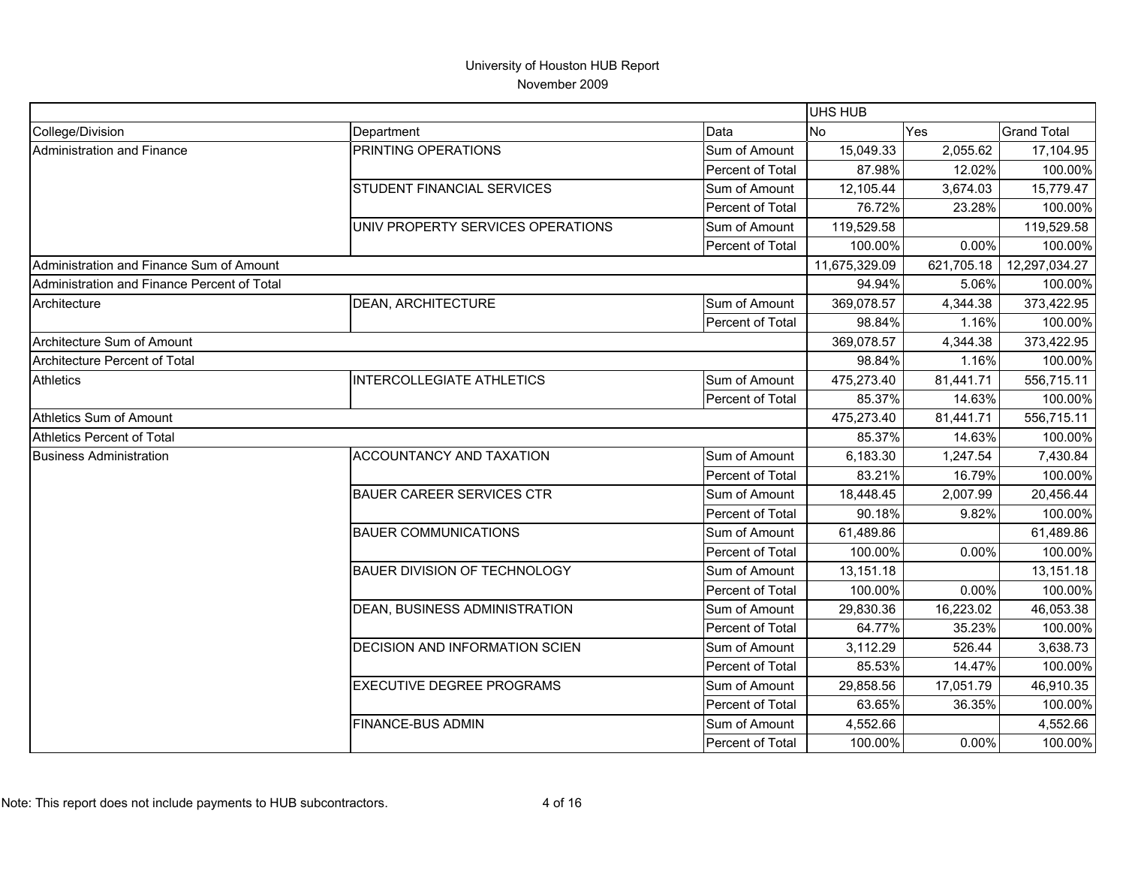|                                             |                                       |                  | UHS HUB       |            |                    |
|---------------------------------------------|---------------------------------------|------------------|---------------|------------|--------------------|
| College/Division                            | Department                            | Data             | <b>No</b>     | <b>Yes</b> | <b>Grand Total</b> |
| Administration and Finance                  | PRINTING OPERATIONS                   | Sum of Amount    | 15,049.33     | 2,055.62   | 17,104.95          |
|                                             |                                       | Percent of Total | 87.98%        | 12.02%     | 100.00%            |
|                                             | STUDENT FINANCIAL SERVICES            | Sum of Amount    | 12,105.44     | 3,674.03   | 15,779.47          |
|                                             |                                       | Percent of Total | 76.72%        | 23.28%     | 100.00%            |
|                                             | UNIV PROPERTY SERVICES OPERATIONS     | Sum of Amount    | 119,529.58    |            | 119,529.58         |
|                                             |                                       | Percent of Total | 100.00%       | 0.00%      | 100.00%            |
| Administration and Finance Sum of Amount    |                                       |                  | 11,675,329.09 | 621,705.18 | 12,297,034.27      |
| Administration and Finance Percent of Total |                                       |                  | 94.94%        | 5.06%      | 100.00%            |
| Architecture                                | <b>DEAN, ARCHITECTURE</b>             | Sum of Amount    | 369,078.57    | 4,344.38   | 373,422.95         |
|                                             |                                       | Percent of Total | 98.84%        | 1.16%      | 100.00%            |
| Architecture Sum of Amount                  |                                       |                  | 369,078.57    | 4,344.38   | 373,422.95         |
| Architecture Percent of Total               |                                       |                  | 98.84%        | 1.16%      | 100.00%            |
| <b>Athletics</b>                            | <b>INTERCOLLEGIATE ATHLETICS</b>      | Sum of Amount    | 475,273.40    | 81,441.71  | 556,715.11         |
|                                             |                                       | Percent of Total | 85.37%        | 14.63%     | 100.00%            |
| Athletics Sum of Amount                     |                                       |                  | 475,273.40    | 81,441.71  | 556,715.11         |
| Athletics Percent of Total                  |                                       |                  | 85.37%        | 14.63%     | 100.00%            |
| <b>Business Administration</b>              | ACCOUNTANCY AND TAXATION              | Sum of Amount    | 6,183.30      | 1,247.54   | 7,430.84           |
|                                             |                                       | Percent of Total | 83.21%        | 16.79%     | 100.00%            |
|                                             | <b>BAUER CAREER SERVICES CTR</b>      | Sum of Amount    | 18,448.45     | 2,007.99   | 20,456.44          |
|                                             |                                       | Percent of Total | 90.18%        | 9.82%      | 100.00%            |
|                                             | <b>BAUER COMMUNICATIONS</b>           | Sum of Amount    | 61,489.86     |            | 61,489.86          |
|                                             |                                       | Percent of Total | 100.00%       | 0.00%      | 100.00%            |
|                                             | <b>BAUER DIVISION OF TECHNOLOGY</b>   | Sum of Amount    | 13,151.18     |            | 13,151.18          |
|                                             |                                       | Percent of Total | 100.00%       | 0.00%      | 100.00%            |
|                                             | DEAN, BUSINESS ADMINISTRATION         | Sum of Amount    | 29,830.36     | 16,223.02  | 46,053.38          |
|                                             |                                       | Percent of Total | 64.77%        | 35.23%     | 100.00%            |
|                                             | <b>DECISION AND INFORMATION SCIEN</b> | Sum of Amount    | 3,112.29      | 526.44     | 3,638.73           |
|                                             |                                       | Percent of Total | 85.53%        | 14.47%     | 100.00%            |
|                                             | <b>EXECUTIVE DEGREE PROGRAMS</b>      | Sum of Amount    | 29,858.56     | 17,051.79  | 46,910.35          |
|                                             |                                       | Percent of Total | 63.65%        | 36.35%     | 100.00%            |
|                                             | <b>FINANCE-BUS ADMIN</b>              | Sum of Amount    | 4,552.66      |            | 4,552.66           |
|                                             |                                       | Percent of Total | 100.00%       | 0.00%      | 100.00%            |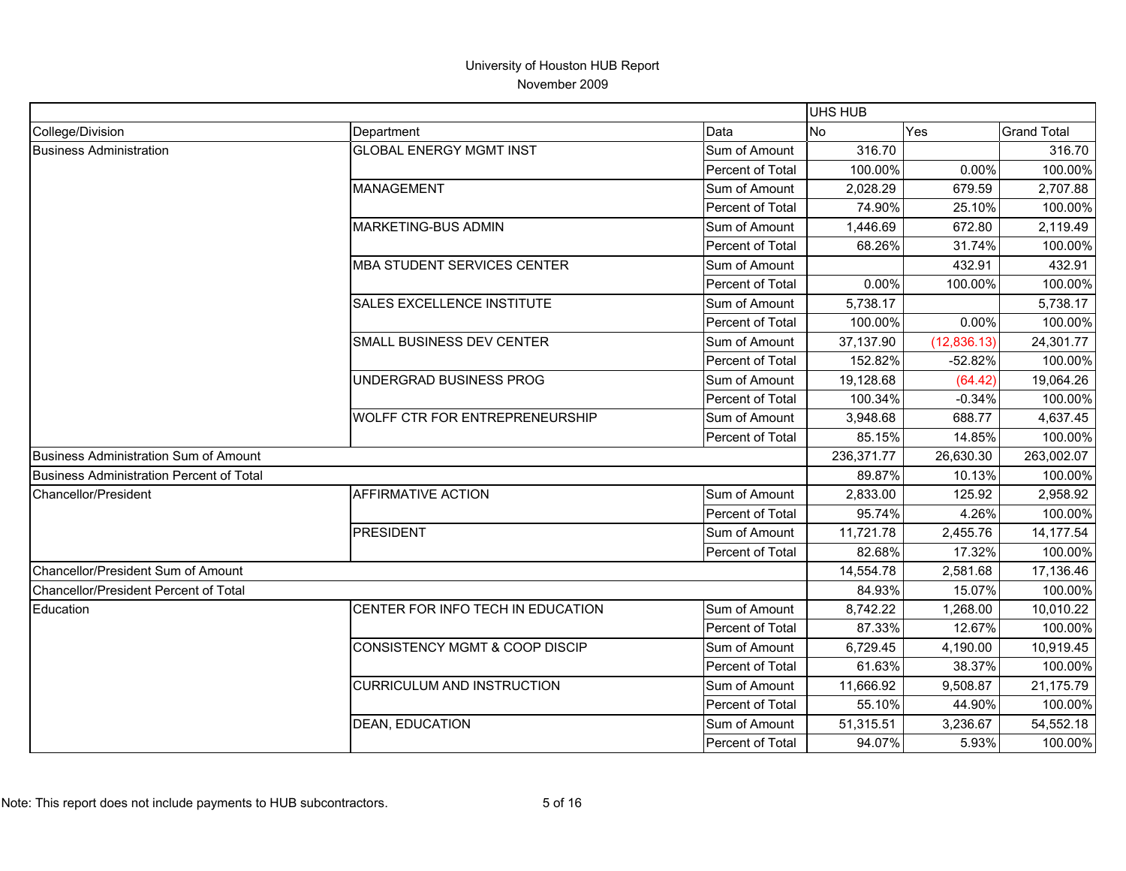|                                          |                                       |                         | <b>UHS HUB</b> |              |                    |
|------------------------------------------|---------------------------------------|-------------------------|----------------|--------------|--------------------|
| College/Division                         | Department                            | Data                    | No             | Yes          | <b>Grand Total</b> |
| <b>Business Administration</b>           | <b>GLOBAL ENERGY MGMT INST</b>        | Sum of Amount           | 316.70         |              | 316.70             |
|                                          |                                       | Percent of Total        | 100.00%        | 0.00%        | 100.00%            |
|                                          | <b>MANAGEMENT</b>                     | Sum of Amount           | 2,028.29       | 679.59       | 2,707.88           |
|                                          |                                       | Percent of Total        | 74.90%         | 25.10%       | 100.00%            |
|                                          | MARKETING-BUS ADMIN                   | Sum of Amount           | 1,446.69       | 672.80       | 2,119.49           |
|                                          |                                       | Percent of Total        | 68.26%         | 31.74%       | 100.00%            |
|                                          | <b>MBA STUDENT SERVICES CENTER</b>    | Sum of Amount           |                | 432.91       | 432.91             |
|                                          |                                       | <b>Percent of Total</b> | $0.00\%$       | 100.00%      | 100.00%            |
|                                          | SALES EXCELLENCE INSTITUTE            | Sum of Amount           | 5,738.17       |              | 5,738.17           |
|                                          |                                       | Percent of Total        | 100.00%        | 0.00%        | 100.00%            |
|                                          | SMALL BUSINESS DEV CENTER             | Sum of Amount           | 37,137.90      | (12, 836.13) | 24,301.77          |
|                                          |                                       | Percent of Total        | 152.82%        | $-52.82%$    | 100.00%            |
|                                          | UNDERGRAD BUSINESS PROG               | Sum of Amount           | 19,128.68      | (64.42)      | 19,064.26          |
|                                          |                                       | Percent of Total        | 100.34%        | $-0.34%$     | 100.00%            |
|                                          | <b>WOLFF CTR FOR ENTREPRENEURSHIP</b> | Sum of Amount           | 3,948.68       | 688.77       | 4,637.45           |
|                                          |                                       | Percent of Total        | 85.15%         | 14.85%       | 100.00%            |
| Business Administration Sum of Amount    |                                       |                         | 236,371.77     | 26,630.30    | 263,002.07         |
| Business Administration Percent of Total |                                       |                         | 89.87%         | 10.13%       | 100.00%            |
| Chancellor/President                     | <b>AFFIRMATIVE ACTION</b>             | Sum of Amount           | 2,833.00       | 125.92       | 2,958.92           |
|                                          |                                       | <b>Percent of Total</b> | 95.74%         | 4.26%        | 100.00%            |
|                                          | <b>PRESIDENT</b>                      | Sum of Amount           | 11,721.78      | 2,455.76     | 14,177.54          |
|                                          |                                       | Percent of Total        | 82.68%         | 17.32%       | 100.00%            |
| Chancellor/President Sum of Amount       |                                       |                         | 14,554.78      | 2,581.68     | 17,136.46          |
| Chancellor/President Percent of Total    |                                       |                         | 84.93%         | 15.07%       | 100.00%            |
| Education                                | CENTER FOR INFO TECH IN EDUCATION     | Sum of Amount           | 8,742.22       | 1,268.00     | 10,010.22          |
|                                          |                                       | Percent of Total        | 87.33%         | 12.67%       | 100.00%            |
|                                          | CONSISTENCY MGMT & COOP DISCIP        | Sum of Amount           | 6,729.45       | 4,190.00     | 10,919.45          |
|                                          |                                       | Percent of Total        | 61.63%         | 38.37%       | 100.00%            |
|                                          | <b>CURRICULUM AND INSTRUCTION</b>     | Sum of Amount           | 11,666.92      | 9,508.87     | 21,175.79          |
|                                          |                                       | Percent of Total        | 55.10%         | 44.90%       | 100.00%            |
|                                          | <b>DEAN, EDUCATION</b>                | Sum of Amount           | 51,315.51      | 3,236.67     | 54,552.18          |
|                                          |                                       | Percent of Total        | 94.07%         | 5.93%        | 100.00%            |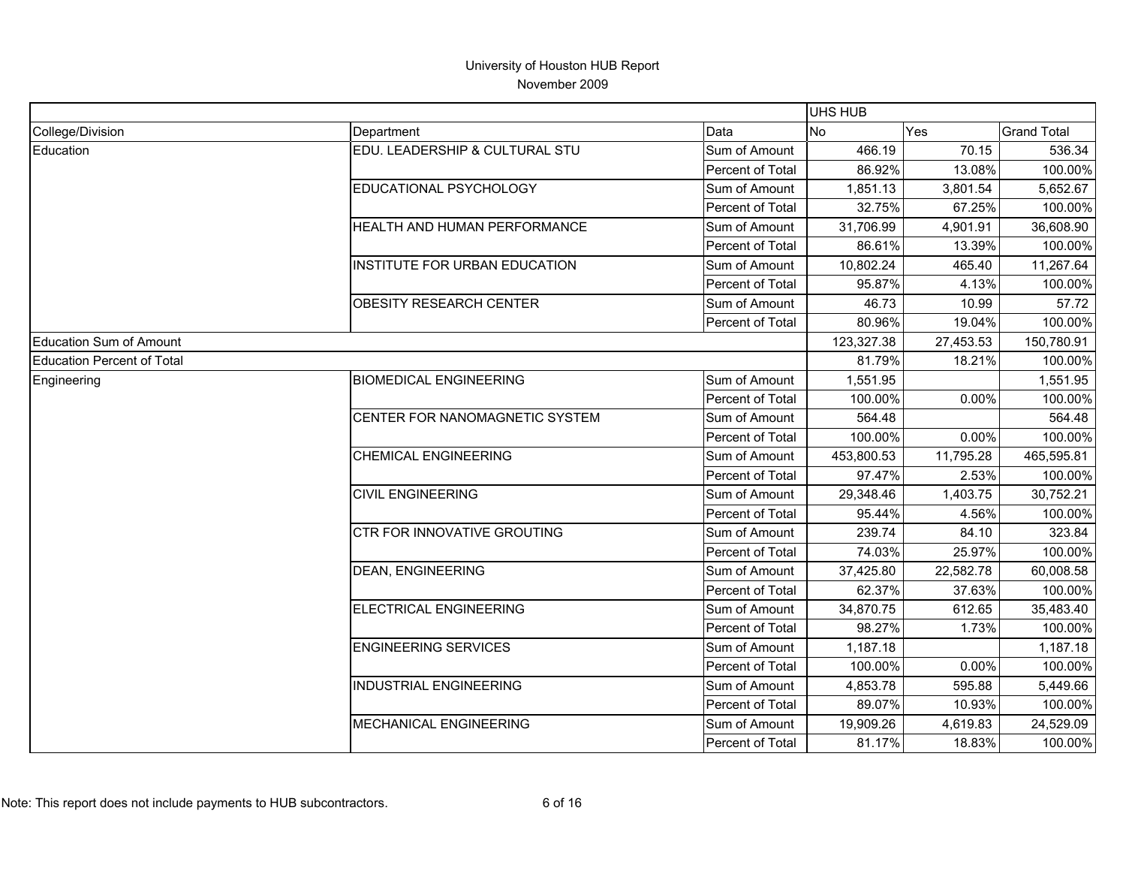|                                   |                                |                  | UHS HUB    |            |                    |
|-----------------------------------|--------------------------------|------------------|------------|------------|--------------------|
| College/Division                  | Department                     | Data             | <b>No</b>  | <b>Yes</b> | <b>Grand Total</b> |
| Education                         | EDU. LEADERSHIP & CULTURAL STU | Sum of Amount    | 466.19     | 70.15      | 536.34             |
|                                   |                                | Percent of Total | 86.92%     | 13.08%     | 100.00%            |
|                                   | EDUCATIONAL PSYCHOLOGY         | Sum of Amount    | 1,851.13   | 3,801.54   | 5,652.67           |
|                                   |                                | Percent of Total | 32.75%     | 67.25%     | 100.00%            |
|                                   | HEALTH AND HUMAN PERFORMANCE   | Sum of Amount    | 31,706.99  | 4,901.91   | 36,608.90          |
|                                   |                                | Percent of Total | 86.61%     | 13.39%     | 100.00%            |
|                                   | INSTITUTE FOR URBAN EDUCATION  | Sum of Amount    | 10,802.24  | 465.40     | 11,267.64          |
|                                   |                                | Percent of Total | 95.87%     | 4.13%      | 100.00%            |
|                                   | <b>OBESITY RESEARCH CENTER</b> | Sum of Amount    | 46.73      | 10.99      | 57.72              |
|                                   |                                | Percent of Total | 80.96%     | 19.04%     | 100.00%            |
| <b>Education Sum of Amount</b>    |                                |                  | 123,327.38 | 27,453.53  | 150,780.91         |
| <b>Education Percent of Total</b> |                                |                  | 81.79%     | 18.21%     | 100.00%            |
| Engineering                       | <b>BIOMEDICAL ENGINEERING</b>  | Sum of Amount    | 1,551.95   |            | 1,551.95           |
|                                   |                                | Percent of Total | 100.00%    | 0.00%      | 100.00%            |
|                                   | CENTER FOR NANOMAGNETIC SYSTEM | Sum of Amount    | 564.48     |            | 564.48             |
|                                   |                                | Percent of Total | 100.00%    | 0.00%      | 100.00%            |
|                                   | <b>CHEMICAL ENGINEERING</b>    | Sum of Amount    | 453,800.53 | 11,795.28  | 465,595.81         |
|                                   |                                | Percent of Total | 97.47%     | 2.53%      | 100.00%            |
|                                   | <b>CIVIL ENGINEERING</b>       | Sum of Amount    | 29,348.46  | 1,403.75   | 30,752.21          |
|                                   |                                | Percent of Total | 95.44%     | 4.56%      | 100.00%            |
|                                   | CTR FOR INNOVATIVE GROUTING    | Sum of Amount    | 239.74     | 84.10      | 323.84             |
|                                   |                                | Percent of Total | 74.03%     | 25.97%     | 100.00%            |
|                                   | <b>DEAN, ENGINEERING</b>       | Sum of Amount    | 37,425.80  | 22,582.78  | 60,008.58          |
|                                   |                                | Percent of Total | 62.37%     | 37.63%     | 100.00%            |
|                                   | ELECTRICAL ENGINEERING         | Sum of Amount    | 34,870.75  | 612.65     | 35,483.40          |
|                                   |                                | Percent of Total | 98.27%     | 1.73%      | 100.00%            |
|                                   | <b>ENGINEERING SERVICES</b>    | Sum of Amount    | 1,187.18   |            | 1,187.18           |
|                                   |                                | Percent of Total | 100.00%    | 0.00%      | 100.00%            |
|                                   | <b>INDUSTRIAL ENGINEERING</b>  | Sum of Amount    | 4,853.78   | 595.88     | 5,449.66           |
|                                   |                                | Percent of Total | 89.07%     | 10.93%     | 100.00%            |
|                                   | <b>MECHANICAL ENGINEERING</b>  | Sum of Amount    | 19,909.26  | 4,619.83   | 24,529.09          |
|                                   |                                | Percent of Total | 81.17%     | 18.83%     | 100.00%            |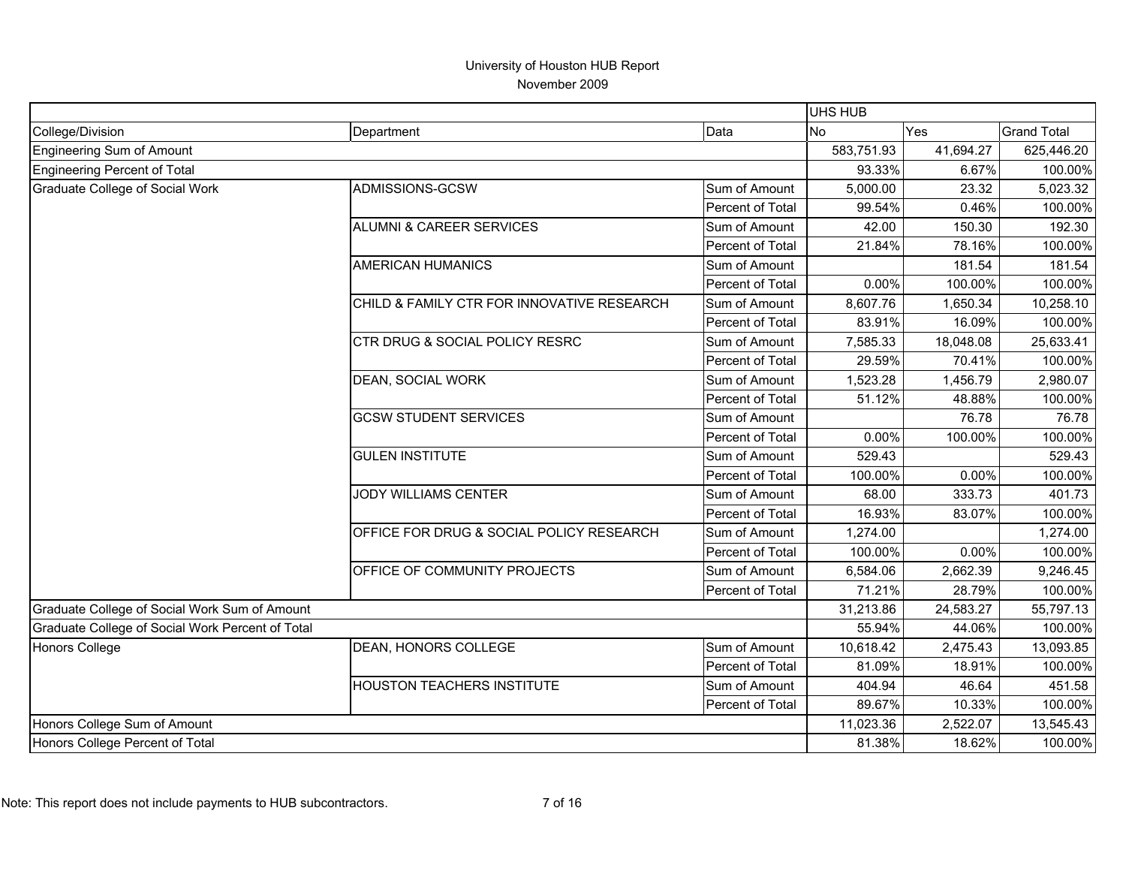|                                                  |                                            |                  | UHS HUB        |           |                    |
|--------------------------------------------------|--------------------------------------------|------------------|----------------|-----------|--------------------|
| College/Division                                 | Department                                 | Data             | N <sub>o</sub> | Yes       | <b>Grand Total</b> |
| Engineering Sum of Amount                        |                                            |                  | 583,751.93     | 41,694.27 | 625,446.20         |
| Engineering Percent of Total                     |                                            |                  | 93.33%         | 6.67%     | 100.00%            |
| <b>Graduate College of Social Work</b>           | ADMISSIONS-GCSW                            | Sum of Amount    | 5,000.00       | 23.32     | 5,023.32           |
|                                                  |                                            | Percent of Total | 99.54%         | 0.46%     | 100.00%            |
|                                                  | <b>ALUMNI &amp; CAREER SERVICES</b>        | Sum of Amount    | 42.00          | 150.30    | 192.30             |
|                                                  |                                            | Percent of Total | 21.84%         | 78.16%    | 100.00%            |
|                                                  | <b>AMERICAN HUMANICS</b>                   | Sum of Amount    |                | 181.54    | 181.54             |
|                                                  |                                            | Percent of Total | 0.00%          | 100.00%   | 100.00%            |
|                                                  | CHILD & FAMILY CTR FOR INNOVATIVE RESEARCH | Sum of Amount    | 8,607.76       | 1,650.34  | 10,258.10          |
|                                                  |                                            | Percent of Total | 83.91%         | 16.09%    | 100.00%            |
|                                                  | CTR DRUG & SOCIAL POLICY RESRC             | Sum of Amount    | 7,585.33       | 18,048.08 | 25,633.41          |
|                                                  |                                            | Percent of Total | 29.59%         | 70.41%    | 100.00%            |
|                                                  | <b>DEAN, SOCIAL WORK</b>                   | Sum of Amount    | 1,523.28       | 1,456.79  | 2,980.07           |
|                                                  |                                            | Percent of Total | 51.12%         | 48.88%    | 100.00%            |
|                                                  | <b>GCSW STUDENT SERVICES</b>               | Sum of Amount    |                | 76.78     | 76.78              |
|                                                  |                                            | Percent of Total | 0.00%          | 100.00%   | 100.00%            |
|                                                  | <b>GULEN INSTITUTE</b>                     | Sum of Amount    | 529.43         |           | 529.43             |
|                                                  |                                            | Percent of Total | 100.00%        | 0.00%     | 100.00%            |
|                                                  | JODY WILLIAMS CENTER                       | Sum of Amount    | 68.00          | 333.73    | 401.73             |
|                                                  |                                            | Percent of Total | 16.93%         | 83.07%    | 100.00%            |
|                                                  | OFFICE FOR DRUG & SOCIAL POLICY RESEARCH   | Sum of Amount    | 1,274.00       |           | 1,274.00           |
|                                                  |                                            | Percent of Total | 100.00%        | 0.00%     | 100.00%            |
|                                                  | OFFICE OF COMMUNITY PROJECTS               | Sum of Amount    | 6,584.06       | 2,662.39  | 9,246.45           |
|                                                  |                                            | Percent of Total | 71.21%         | 28.79%    | 100.00%            |
| Graduate College of Social Work Sum of Amount    |                                            |                  | 31,213.86      | 24,583.27 | 55,797.13          |
| Graduate College of Social Work Percent of Total |                                            |                  | 55.94%         | 44.06%    | 100.00%            |
| <b>Honors College</b>                            | DEAN, HONORS COLLEGE                       | Sum of Amount    | 10,618.42      | 2,475.43  | 13,093.85          |
|                                                  |                                            | Percent of Total | 81.09%         | 18.91%    | 100.00%            |
|                                                  | HOUSTON TEACHERS INSTITUTE                 | Sum of Amount    | 404.94         | 46.64     | 451.58             |
|                                                  |                                            | Percent of Total | 89.67%         | 10.33%    | 100.00%            |
| Honors College Sum of Amount                     |                                            |                  | 11,023.36      | 2,522.07  | 13,545.43          |
| Honors College Percent of Total                  |                                            |                  | 81.38%         | 18.62%    | 100.00%            |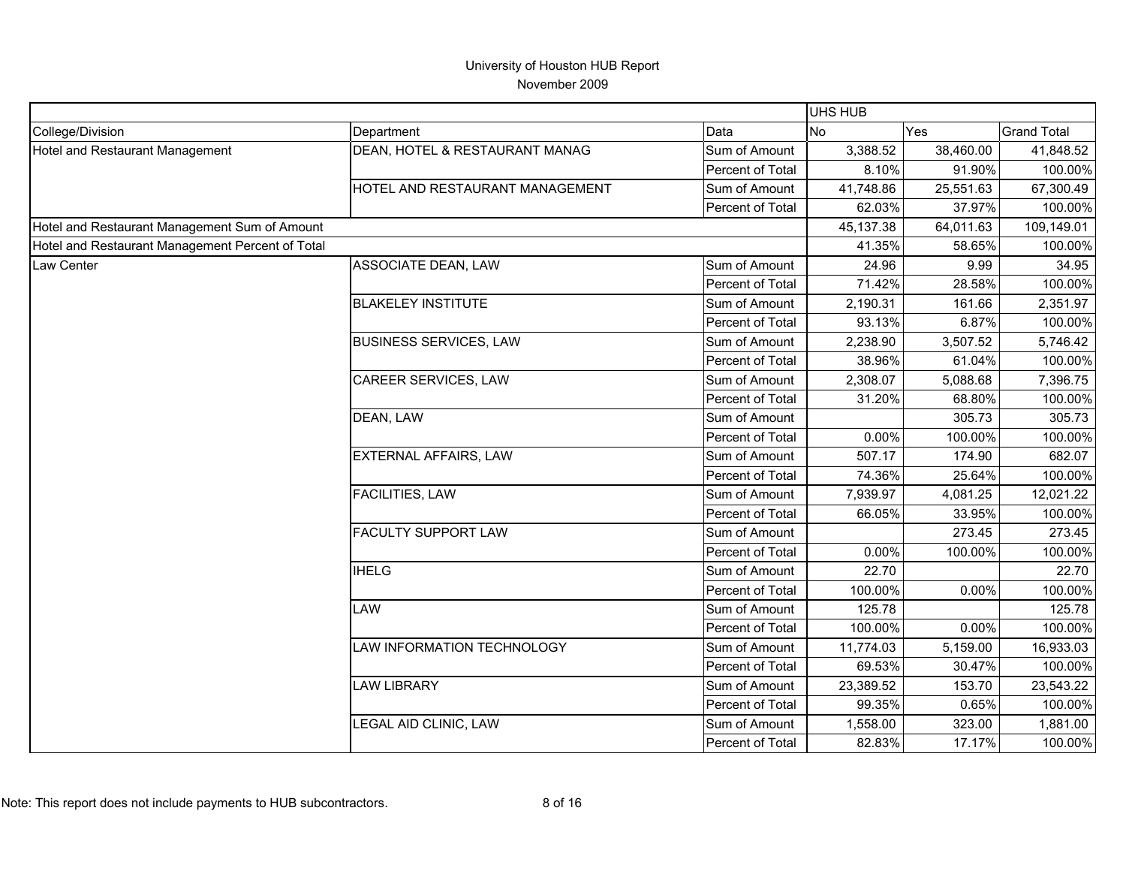|                                                  |                                 |                  | UHS HUB               |           |                    |
|--------------------------------------------------|---------------------------------|------------------|-----------------------|-----------|--------------------|
| College/Division                                 | Department                      | Data             | N <sub>o</sub><br>Yes |           | <b>Grand Total</b> |
| Hotel and Restaurant Management                  | DEAN, HOTEL & RESTAURANT MANAG  | Sum of Amount    | 3,388.52              | 38,460.00 | 41,848.52          |
|                                                  |                                 | Percent of Total | 8.10%                 | 91.90%    | 100.00%            |
|                                                  | HOTEL AND RESTAURANT MANAGEMENT | Sum of Amount    | 41,748.86             | 25,551.63 | 67,300.49          |
|                                                  |                                 | Percent of Total | 62.03%                | 37.97%    | 100.00%            |
| Hotel and Restaurant Management Sum of Amount    |                                 |                  | 45,137.38             | 64,011.63 | 109,149.01         |
| Hotel and Restaurant Management Percent of Total |                                 |                  | 41.35%                | 58.65%    | 100.00%            |
| Law Center                                       | ASSOCIATE DEAN, LAW             | Sum of Amount    | 24.96                 | 9.99      | 34.95              |
|                                                  |                                 | Percent of Total | 71.42%                | 28.58%    | 100.00%            |
|                                                  | <b>BLAKELEY INSTITUTE</b>       | Sum of Amount    | 2,190.31              | 161.66    | 2,351.97           |
|                                                  |                                 | Percent of Total | 93.13%                | 6.87%     | 100.00%            |
|                                                  | <b>BUSINESS SERVICES, LAW</b>   | Sum of Amount    | 2,238.90              | 3,507.52  | 5,746.42           |
|                                                  |                                 | Percent of Total | 38.96%                | 61.04%    | 100.00%            |
|                                                  | CAREER SERVICES, LAW            | Sum of Amount    | 2,308.07              | 5,088.68  | 7,396.75           |
|                                                  |                                 | Percent of Total | 31.20%                | 68.80%    | 100.00%            |
|                                                  | DEAN, LAW                       | Sum of Amount    |                       | 305.73    | 305.73             |
|                                                  |                                 | Percent of Total | 0.00%                 | 100.00%   | 100.00%            |
|                                                  | <b>EXTERNAL AFFAIRS, LAW</b>    | Sum of Amount    | 507.17                | 174.90    | 682.07             |
|                                                  |                                 | Percent of Total | 74.36%                | 25.64%    | 100.00%            |
|                                                  | <b>FACILITIES, LAW</b>          | Sum of Amount    | 7,939.97              | 4,081.25  | 12,021.22          |
|                                                  |                                 | Percent of Total | 66.05%                | 33.95%    | 100.00%            |
|                                                  | <b>FACULTY SUPPORT LAW</b>      | Sum of Amount    |                       | 273.45    | 273.45             |
|                                                  |                                 | Percent of Total | 0.00%                 | 100.00%   | 100.00%            |
|                                                  | <b>IHELG</b>                    | Sum of Amount    | 22.70                 |           | 22.70              |
|                                                  |                                 | Percent of Total | 100.00%               | 0.00%     | 100.00%            |
|                                                  | LAW                             | Sum of Amount    | 125.78                |           | 125.78             |
|                                                  |                                 | Percent of Total | 100.00%               | 0.00%     | 100.00%            |
|                                                  | LAW INFORMATION TECHNOLOGY      | Sum of Amount    | 11,774.03             | 5,159.00  | 16,933.03          |
|                                                  |                                 | Percent of Total | 69.53%                | 30.47%    | 100.00%            |
|                                                  | <b>LAW LIBRARY</b>              | Sum of Amount    | 23,389.52             | 153.70    | 23,543.22          |
|                                                  |                                 | Percent of Total | 99.35%                | 0.65%     | 100.00%            |
|                                                  | LEGAL AID CLINIC, LAW           | Sum of Amount    | 1,558.00              | 323.00    | 1,881.00           |
|                                                  |                                 | Percent of Total | 82.83%                | 17.17%    | 100.00%            |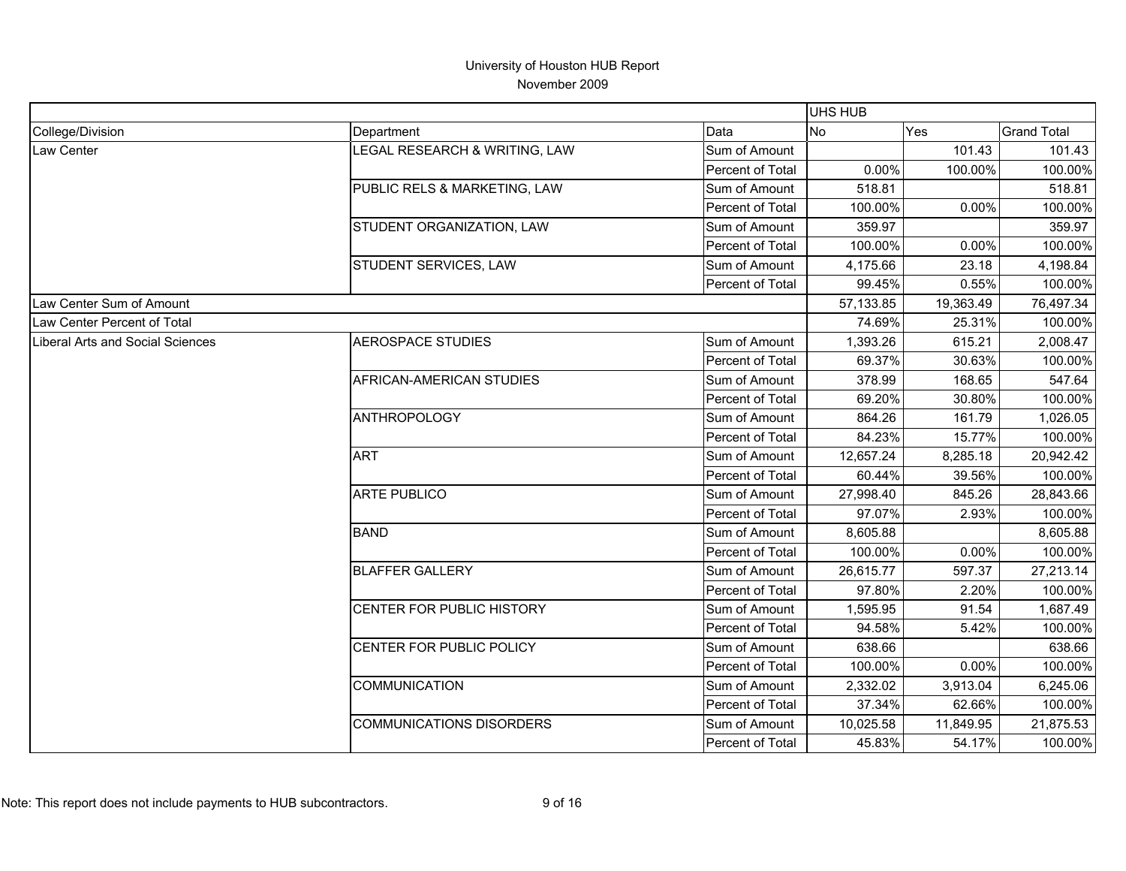|                                  |                                 |                  | <b>UHS HUB</b> |           |                    |
|----------------------------------|---------------------------------|------------------|----------------|-----------|--------------------|
| College/Division                 | Department                      | Data             | <b>No</b>      | Yes       | <b>Grand Total</b> |
| Law Center                       | LEGAL RESEARCH & WRITING, LAW   | Sum of Amount    |                | 101.43    | 101.43             |
|                                  |                                 | Percent of Total | 0.00%          | 100.00%   | 100.00%            |
|                                  | PUBLIC RELS & MARKETING, LAW    | Sum of Amount    | 518.81         |           | 518.81             |
|                                  |                                 | Percent of Total | 100.00%        | 0.00%     | 100.00%            |
|                                  | STUDENT ORGANIZATION, LAW       | Sum of Amount    | 359.97         |           | 359.97             |
|                                  |                                 | Percent of Total | 100.00%        | 0.00%     | 100.00%            |
|                                  | STUDENT SERVICES, LAW           | Sum of Amount    | 4,175.66       | 23.18     | 4,198.84           |
|                                  |                                 | Percent of Total | 99.45%         | 0.55%     | 100.00%            |
| Law Center Sum of Amount         |                                 |                  | 57,133.85      | 19,363.49 | 76,497.34          |
| Law Center Percent of Total      |                                 |                  | 74.69%         | 25.31%    | 100.00%            |
| Liberal Arts and Social Sciences | <b>AEROSPACE STUDIES</b>        | Sum of Amount    | 1,393.26       | 615.21    | 2,008.47           |
|                                  |                                 | Percent of Total | 69.37%         | 30.63%    | 100.00%            |
|                                  | AFRICAN-AMERICAN STUDIES        | Sum of Amount    | 378.99         | 168.65    | 547.64             |
|                                  |                                 | Percent of Total | 69.20%         | 30.80%    | 100.00%            |
|                                  | <b>ANTHROPOLOGY</b>             | Sum of Amount    | 864.26         | 161.79    | 1,026.05           |
|                                  |                                 | Percent of Total | 84.23%         | 15.77%    | 100.00%            |
|                                  | <b>ART</b>                      | Sum of Amount    | 12,657.24      | 8,285.18  | 20,942.42          |
|                                  |                                 | Percent of Total | 60.44%         | 39.56%    | 100.00%            |
|                                  | <b>ARTE PUBLICO</b>             | Sum of Amount    | 27,998.40      | 845.26    | 28,843.66          |
|                                  |                                 | Percent of Total | 97.07%         | 2.93%     | 100.00%            |
|                                  | <b>BAND</b>                     | Sum of Amount    | 8,605.88       |           | 8,605.88           |
|                                  |                                 | Percent of Total | 100.00%        | 0.00%     | 100.00%            |
|                                  | <b>BLAFFER GALLERY</b>          | Sum of Amount    | 26,615.77      | 597.37    | 27,213.14          |
|                                  |                                 | Percent of Total | 97.80%         | 2.20%     | 100.00%            |
|                                  | CENTER FOR PUBLIC HISTORY       | Sum of Amount    | 1,595.95       | 91.54     | 1,687.49           |
|                                  |                                 | Percent of Total | 94.58%         | 5.42%     | 100.00%            |
|                                  | CENTER FOR PUBLIC POLICY        | Sum of Amount    | 638.66         |           | 638.66             |
|                                  |                                 | Percent of Total | 100.00%        | 0.00%     | 100.00%            |
|                                  | <b>COMMUNICATION</b>            | Sum of Amount    | 2,332.02       | 3,913.04  | 6,245.06           |
|                                  |                                 | Percent of Total | 37.34%         | 62.66%    | 100.00%            |
|                                  | <b>COMMUNICATIONS DISORDERS</b> | Sum of Amount    | 10,025.58      | 11,849.95 | 21,875.53          |
|                                  |                                 | Percent of Total | 45.83%         | 54.17%    | 100.00%            |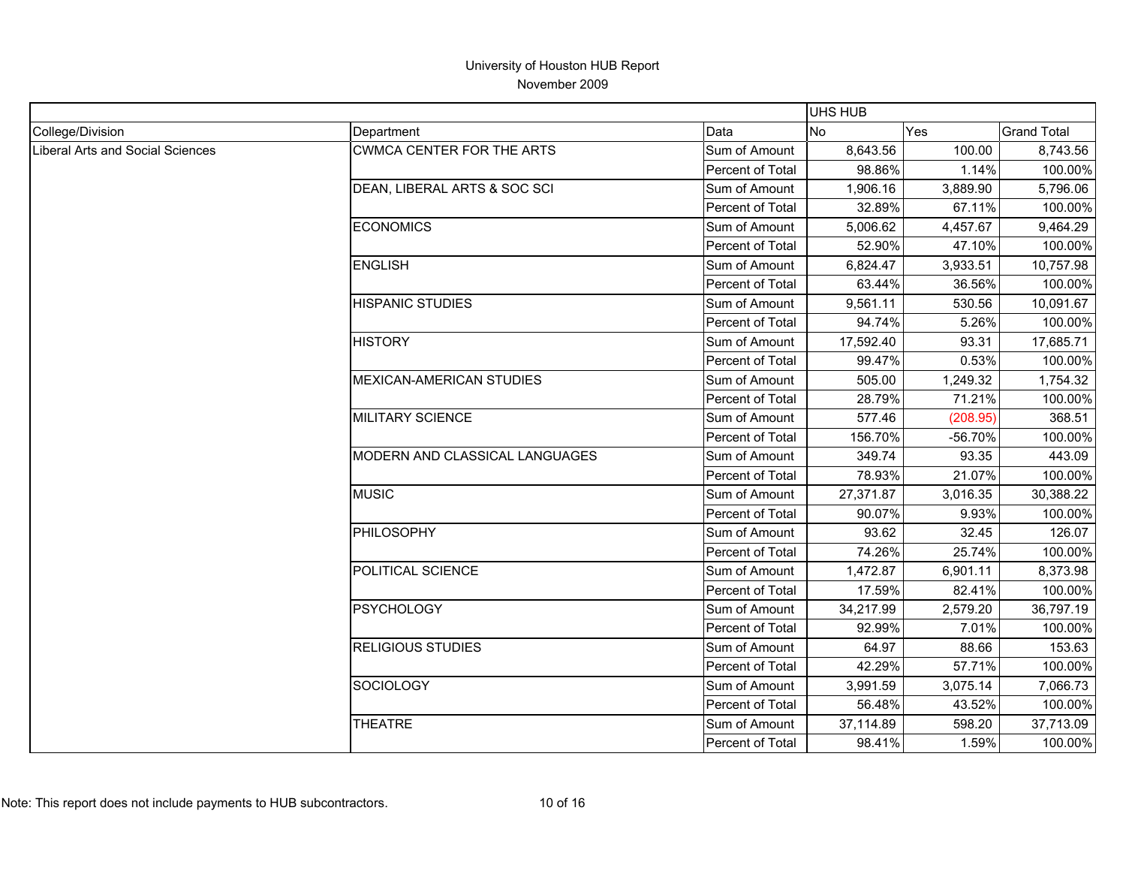|                                  |                                  |                  | <b>UHS HUB</b> |            |                    |
|----------------------------------|----------------------------------|------------------|----------------|------------|--------------------|
| College/Division                 | Department                       | Data             | <b>No</b>      | <b>Yes</b> | <b>Grand Total</b> |
| Liberal Arts and Social Sciences | <b>CWMCA CENTER FOR THE ARTS</b> | Sum of Amount    | 8,643.56       | 100.00     | 8,743.56           |
|                                  |                                  | Percent of Total | 98.86%         | 1.14%      | 100.00%            |
|                                  | DEAN, LIBERAL ARTS & SOC SCI     | Sum of Amount    | 1,906.16       | 3,889.90   | 5,796.06           |
|                                  |                                  | Percent of Total | 32.89%         | 67.11%     | 100.00%            |
|                                  | <b>ECONOMICS</b>                 | Sum of Amount    | 5,006.62       | 4,457.67   | 9,464.29           |
|                                  |                                  | Percent of Total | 52.90%         | 47.10%     | 100.00%            |
|                                  | <b>ENGLISH</b>                   | Sum of Amount    | 6,824.47       | 3,933.51   | 10,757.98          |
|                                  |                                  | Percent of Total | 63.44%         | 36.56%     | 100.00%            |
|                                  | <b>HISPANIC STUDIES</b>          | Sum of Amount    | 9,561.11       | 530.56     | 10,091.67          |
|                                  |                                  | Percent of Total | 94.74%         | 5.26%      | 100.00%            |
|                                  | <b>HISTORY</b>                   | Sum of Amount    | 17,592.40      | 93.31      | 17,685.71          |
|                                  |                                  | Percent of Total | 99.47%         | 0.53%      | 100.00%            |
|                                  | <b>MEXICAN-AMERICAN STUDIES</b>  | Sum of Amount    | 505.00         | 1,249.32   | 1,754.32           |
|                                  |                                  | Percent of Total | 28.79%         | 71.21%     | 100.00%            |
|                                  | <b>MILITARY SCIENCE</b>          | Sum of Amount    | 577.46         | (208.95)   | 368.51             |
|                                  |                                  | Percent of Total | 156.70%        | -56.70%    | 100.00%            |
|                                  | MODERN AND CLASSICAL LANGUAGES   | Sum of Amount    | 349.74         | 93.35      | 443.09             |
|                                  |                                  | Percent of Total | 78.93%         | 21.07%     | 100.00%            |
|                                  | <b>MUSIC</b>                     | Sum of Amount    | 27,371.87      | 3,016.35   | 30,388.22          |
|                                  |                                  | Percent of Total | 90.07%         | 9.93%      | 100.00%            |
|                                  | PHILOSOPHY                       | Sum of Amount    | 93.62          | 32.45      | 126.07             |
|                                  |                                  | Percent of Total | 74.26%         | 25.74%     | 100.00%            |
|                                  | POLITICAL SCIENCE                | Sum of Amount    | 1,472.87       | 6,901.11   | 8,373.98           |
|                                  |                                  | Percent of Total | 17.59%         | 82.41%     | 100.00%            |
|                                  | <b>PSYCHOLOGY</b>                | Sum of Amount    | 34,217.99      | 2,579.20   | 36,797.19          |
|                                  |                                  | Percent of Total | 92.99%         | 7.01%      | 100.00%            |
|                                  | <b>RELIGIOUS STUDIES</b>         | Sum of Amount    | 64.97          | 88.66      | 153.63             |
|                                  |                                  | Percent of Total | 42.29%         | 57.71%     | 100.00%            |
|                                  | <b>SOCIOLOGY</b>                 | Sum of Amount    | 3,991.59       | 3,075.14   | 7,066.73           |
|                                  |                                  | Percent of Total | 56.48%         | 43.52%     | 100.00%            |
|                                  | <b>THEATRE</b>                   | Sum of Amount    | 37,114.89      | 598.20     | 37,713.09          |
|                                  |                                  | Percent of Total | 98.41%         | 1.59%      | 100.00%            |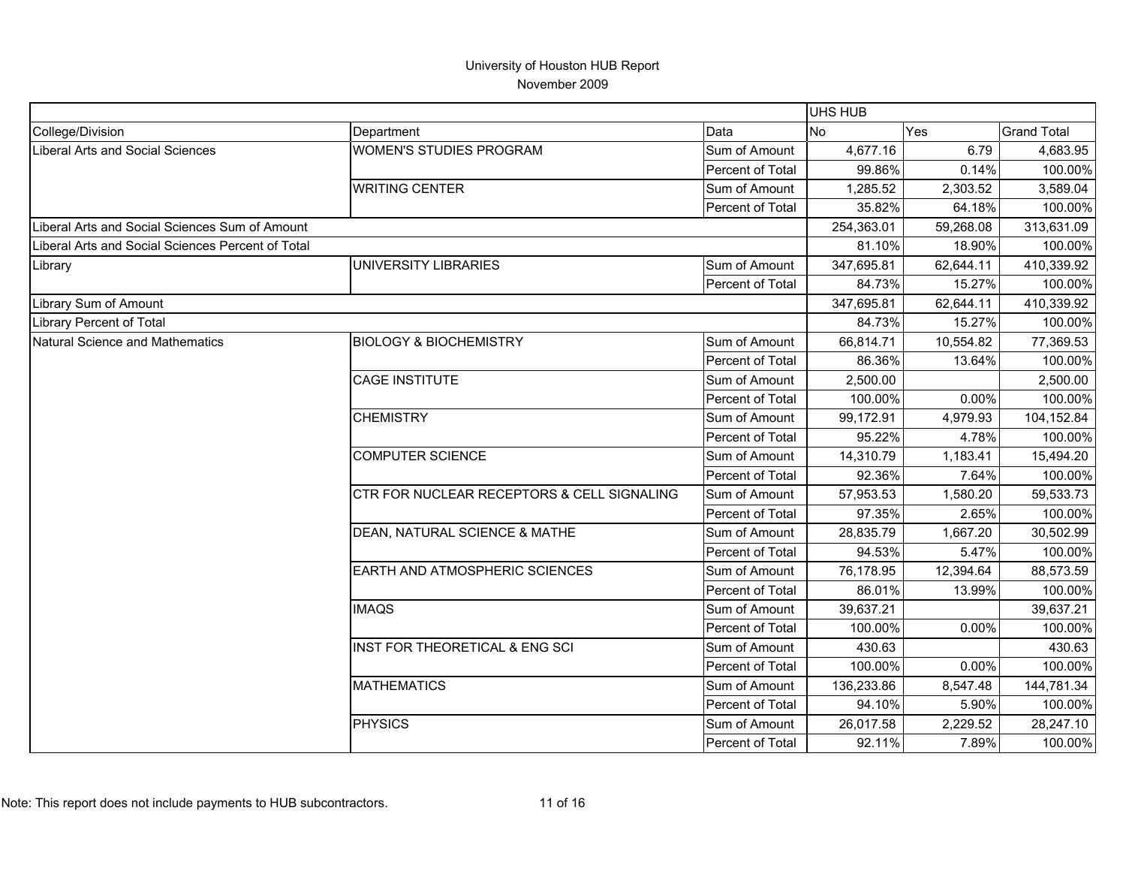|                                                   |                                            |                         | <b>UHS HUB</b> |           |                    |
|---------------------------------------------------|--------------------------------------------|-------------------------|----------------|-----------|--------------------|
| College/Division                                  | Department                                 | Data                    | <b>No</b>      | Yes       | <b>Grand Total</b> |
| Liberal Arts and Social Sciences                  | <b>WOMEN'S STUDIES PROGRAM</b>             | Sum of Amount           | 4,677.16       | 6.79      | 4,683.95           |
|                                                   |                                            | Percent of Total        | 99.86%         | 0.14%     | 100.00%            |
|                                                   | <b>WRITING CENTER</b>                      | Sum of Amount           | 1,285.52       | 2,303.52  | 3,589.04           |
|                                                   |                                            | Percent of Total        | 35.82%         | 64.18%    | 100.00%            |
| Liberal Arts and Social Sciences Sum of Amount    |                                            |                         | 254,363.01     | 59,268.08 | 313,631.09         |
| Liberal Arts and Social Sciences Percent of Total |                                            |                         | 81.10%         | 18.90%    | 100.00%            |
| Library                                           | UNIVERSITY LIBRARIES                       | Sum of Amount           | 347,695.81     | 62,644.11 | 410,339.92         |
|                                                   |                                            | Percent of Total        | 84.73%         | 15.27%    | 100.00%            |
| Library Sum of Amount                             |                                            |                         | 347,695.81     | 62,644.11 | 410,339.92         |
| <b>Library Percent of Total</b>                   |                                            |                         | 84.73%         | 15.27%    | 100.00%            |
| Natural Science and Mathematics                   | <b>BIOLOGY &amp; BIOCHEMISTRY</b>          | Sum of Amount           | 66,814.71      | 10,554.82 | 77,369.53          |
|                                                   |                                            | Percent of Total        | 86.36%         | 13.64%    | 100.00%            |
|                                                   | <b>CAGE INSTITUTE</b>                      | Sum of Amount           | 2,500.00       |           | 2,500.00           |
|                                                   |                                            | Percent of Total        | 100.00%        | 0.00%     | 100.00%            |
|                                                   | <b>CHEMISTRY</b>                           | Sum of Amount           | 99,172.91      | 4,979.93  | 104,152.84         |
|                                                   |                                            | Percent of Total        | 95.22%         | 4.78%     | 100.00%            |
|                                                   | <b>COMPUTER SCIENCE</b>                    | Sum of Amount           | 14,310.79      | 1,183.41  | 15,494.20          |
|                                                   |                                            | Percent of Total        | 92.36%         | 7.64%     | 100.00%            |
|                                                   | CTR FOR NUCLEAR RECEPTORS & CELL SIGNALING | Sum of Amount           | 57,953.53      | 1,580.20  | 59,533.73          |
|                                                   |                                            | <b>Percent of Total</b> | 97.35%         | 2.65%     | 100.00%            |
|                                                   | DEAN, NATURAL SCIENCE & MATHE              | Sum of Amount           | 28,835.79      | 1,667.20  | 30,502.99          |
|                                                   |                                            | Percent of Total        | 94.53%         | 5.47%     | 100.00%            |
|                                                   | EARTH AND ATMOSPHERIC SCIENCES             | Sum of Amount           | 76,178.95      | 12,394.64 | 88,573.59          |
|                                                   |                                            | Percent of Total        | 86.01%         | 13.99%    | 100.00%            |
|                                                   | <b>IMAQS</b>                               | Sum of Amount           | 39,637.21      |           | 39,637.21          |
|                                                   |                                            | Percent of Total        | 100.00%        | 0.00%     | 100.00%            |
|                                                   | INST FOR THEORETICAL & ENG SCI             | Sum of Amount           | 430.63         |           | 430.63             |
|                                                   |                                            | Percent of Total        | 100.00%        | 0.00%     | 100.00%            |
|                                                   | <b>MATHEMATICS</b>                         | Sum of Amount           | 136,233.86     | 8,547.48  | 144,781.34         |
|                                                   |                                            | Percent of Total        | 94.10%         | 5.90%     | 100.00%            |
|                                                   | <b>PHYSICS</b>                             | Sum of Amount           | 26,017.58      | 2,229.52  | 28,247.10          |
|                                                   |                                            | Percent of Total        | 92.11%         | 7.89%     | 100.00%            |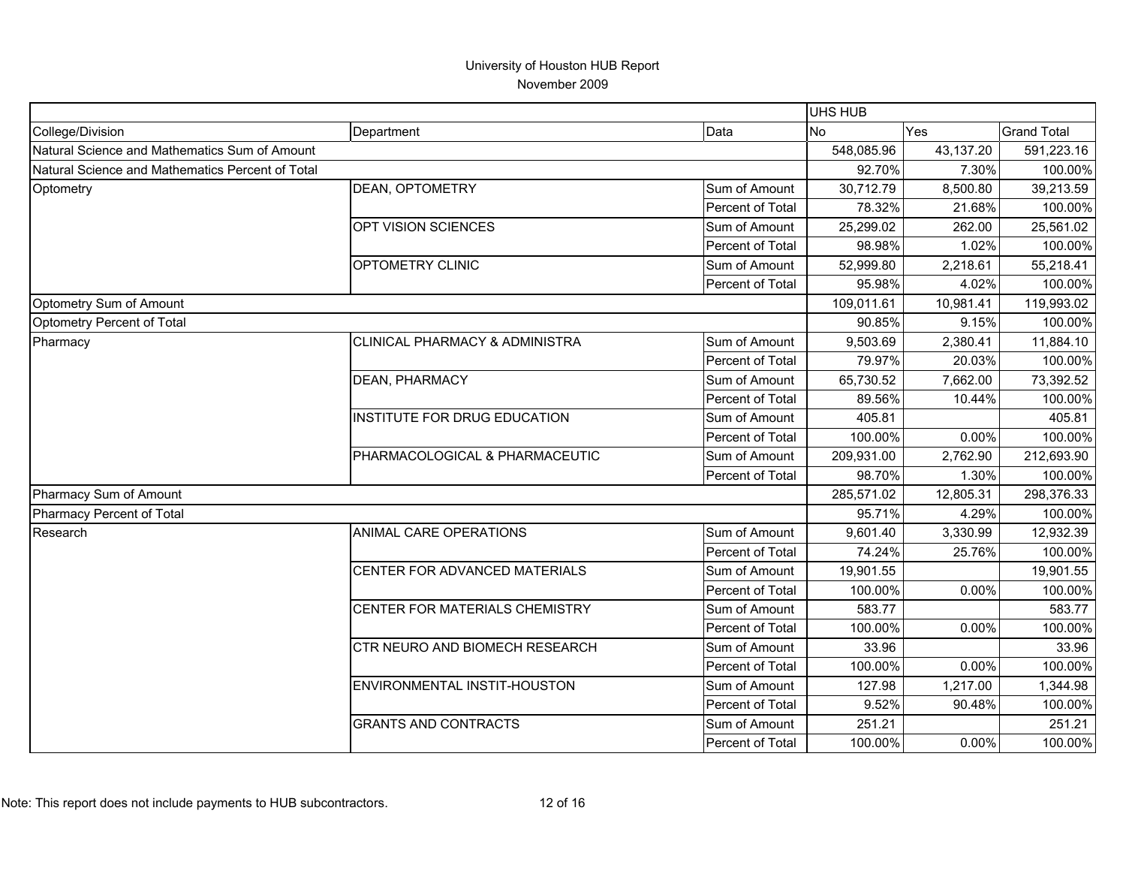|                                                  |                                |                  | UHS HUB    |           |                    |
|--------------------------------------------------|--------------------------------|------------------|------------|-----------|--------------------|
| College/Division                                 | Department                     | Data             | <b>No</b>  | Yes       | <b>Grand Total</b> |
| Natural Science and Mathematics Sum of Amount    |                                |                  | 548,085.96 | 43,137.20 | 591,223.16         |
| Natural Science and Mathematics Percent of Total |                                | 92.70%           | 7.30%      | 100.00%   |                    |
| Optometry                                        | DEAN, OPTOMETRY                | Sum of Amount    | 30,712.79  | 8,500.80  | 39,213.59          |
|                                                  |                                | Percent of Total | 78.32%     | 21.68%    | 100.00%            |
|                                                  | OPT VISION SCIENCES            | Sum of Amount    | 25,299.02  | 262.00    | 25,561.02          |
|                                                  |                                | Percent of Total | 98.98%     | 1.02%     | 100.00%            |
|                                                  | OPTOMETRY CLINIC               | Sum of Amount    | 52,999.80  | 2,218.61  | 55,218.41          |
|                                                  |                                | Percent of Total | 95.98%     | 4.02%     | 100.00%            |
| Optometry Sum of Amount                          |                                |                  | 109,011.61 | 10,981.41 | 119,993.02         |
| Optometry Percent of Total                       |                                |                  | 90.85%     | 9.15%     | 100.00%            |
| Pharmacy                                         | CLINICAL PHARMACY & ADMINISTRA | Sum of Amount    | 9,503.69   | 2,380.41  | 11,884.10          |
|                                                  |                                | Percent of Total | 79.97%     | 20.03%    | 100.00%            |
|                                                  | DEAN, PHARMACY                 | Sum of Amount    | 65,730.52  | 7,662.00  | 73,392.52          |
|                                                  |                                | Percent of Total | 89.56%     | 10.44%    | 100.00%            |
|                                                  | INSTITUTE FOR DRUG EDUCATION   | Sum of Amount    | 405.81     |           | 405.81             |
|                                                  |                                | Percent of Total | 100.00%    | 0.00%     | 100.00%            |
|                                                  | PHARMACOLOGICAL & PHARMACEUTIC | Sum of Amount    | 209,931.00 | 2,762.90  | 212,693.90         |
|                                                  |                                | Percent of Total | 98.70%     | 1.30%     | 100.00%            |
| Pharmacy Sum of Amount                           |                                |                  | 285,571.02 | 12,805.31 | 298,376.33         |
| Pharmacy Percent of Total                        |                                |                  | 95.71%     | 4.29%     | 100.00%            |
| Research                                         | ANIMAL CARE OPERATIONS         | Sum of Amount    | 9,601.40   | 3,330.99  | 12,932.39          |
|                                                  |                                | Percent of Total | 74.24%     | 25.76%    | 100.00%            |
|                                                  | CENTER FOR ADVANCED MATERIALS  | Sum of Amount    | 19,901.55  |           | 19,901.55          |
|                                                  |                                | Percent of Total | 100.00%    | 0.00%     | 100.00%            |
|                                                  | CENTER FOR MATERIALS CHEMISTRY | Sum of Amount    | 583.77     |           | 583.77             |
|                                                  |                                | Percent of Total | 100.00%    | 0.00%     | 100.00%            |
|                                                  | CTR NEURO AND BIOMECH RESEARCH | Sum of Amount    | 33.96      |           | 33.96              |
|                                                  |                                | Percent of Total | 100.00%    | 0.00%     | 100.00%            |
|                                                  | ENVIRONMENTAL INSTIT-HOUSTON   | Sum of Amount    | 127.98     | 1,217.00  | 1,344.98           |
|                                                  |                                | Percent of Total | 9.52%      | 90.48%    | 100.00%            |
|                                                  | <b>GRANTS AND CONTRACTS</b>    | Sum of Amount    | 251.21     |           | 251.21             |
|                                                  |                                | Percent of Total | 100.00%    | 0.00%     | 100.00%            |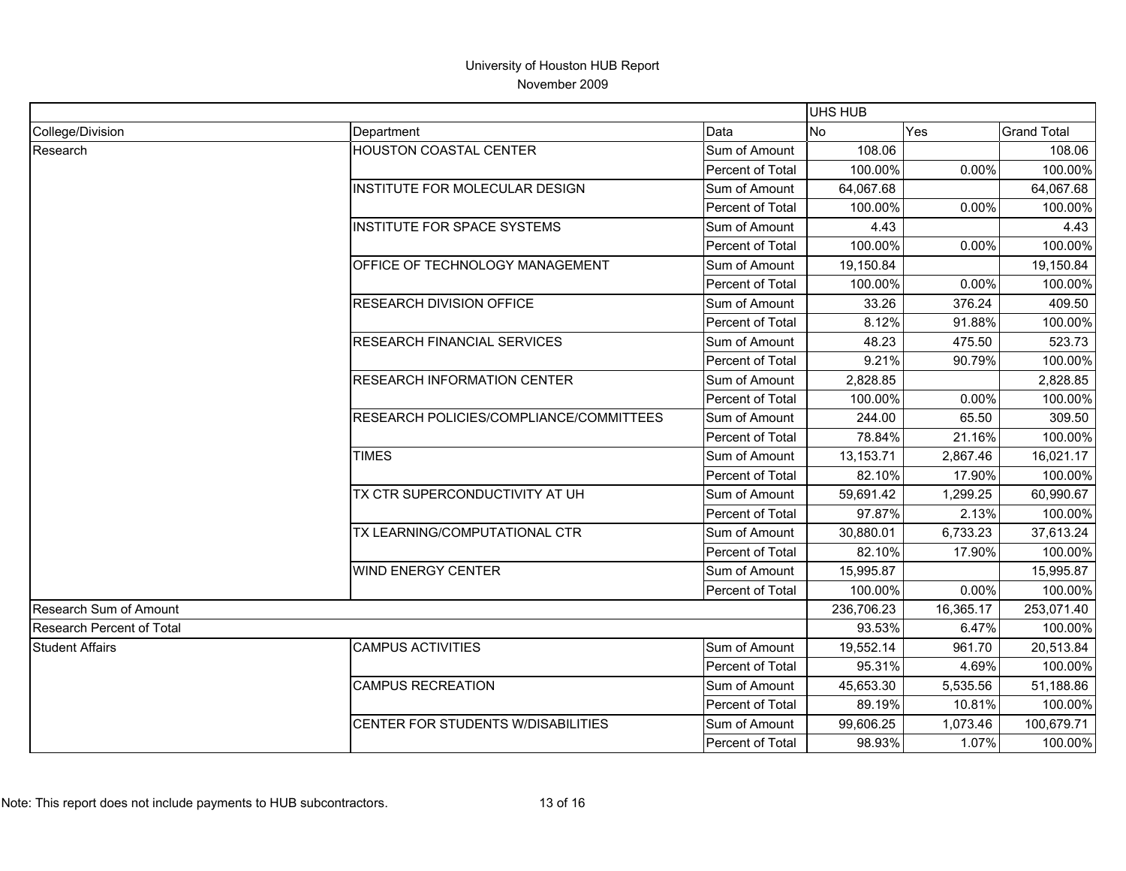|                                  |                                         |                         | UHS HUB    |            |                    |
|----------------------------------|-----------------------------------------|-------------------------|------------|------------|--------------------|
| College/Division                 | Department                              | Data                    | No.        | <b>Yes</b> | <b>Grand Total</b> |
| Research                         | <b>HOUSTON COASTAL CENTER</b>           | Sum of Amount           | 108.06     |            | 108.06             |
|                                  |                                         | Percent of Total        | 100.00%    | 0.00%      | 100.00%            |
|                                  | INSTITUTE FOR MOLECULAR DESIGN          | Sum of Amount           | 64,067.68  |            | 64,067.68          |
|                                  |                                         | Percent of Total        | 100.00%    | 0.00%      | 100.00%            |
|                                  | INSTITUTE FOR SPACE SYSTEMS             | Sum of Amount           | 4.43       |            | 4.43               |
|                                  |                                         | Percent of Total        | 100.00%    | 0.00%      | 100.00%            |
|                                  | OFFICE OF TECHNOLOGY MANAGEMENT         | Sum of Amount           | 19,150.84  |            | 19,150.84          |
|                                  |                                         | Percent of Total        | 100.00%    | 0.00%      | 100.00%            |
|                                  | RESEARCH DIVISION OFFICE                | Sum of Amount           | 33.26      | 376.24     | 409.50             |
|                                  |                                         | Percent of Total        | 8.12%      | 91.88%     | 100.00%            |
|                                  | RESEARCH FINANCIAL SERVICES             | Sum of Amount           | 48.23      | 475.50     | 523.73             |
|                                  |                                         | Percent of Total        | 9.21%      | 90.79%     | 100.00%            |
|                                  | <b>RESEARCH INFORMATION CENTER</b>      | Sum of Amount           | 2,828.85   |            | 2,828.85           |
|                                  |                                         | Percent of Total        | 100.00%    | 0.00%      | 100.00%            |
|                                  | RESEARCH POLICIES/COMPLIANCE/COMMITTEES | Sum of Amount           | 244.00     | 65.50      | 309.50             |
|                                  |                                         | Percent of Total        | 78.84%     | 21.16%     | 100.00%            |
|                                  | <b>TIMES</b>                            | Sum of Amount           | 13,153.71  | 2,867.46   | 16,021.17          |
|                                  |                                         | Percent of Total        | 82.10%     | 17.90%     | 100.00%            |
|                                  | TX CTR SUPERCONDUCTIVITY AT UH          | Sum of Amount           | 59,691.42  | 1,299.25   | 60,990.67          |
|                                  |                                         | Percent of Total        | 97.87%     | 2.13%      | 100.00%            |
|                                  | TX LEARNING/COMPUTATIONAL CTR           | Sum of Amount           | 30,880.01  | 6,733.23   | 37,613.24          |
|                                  |                                         | Percent of Total        | 82.10%     | 17.90%     | 100.00%            |
|                                  | <b>WIND ENERGY CENTER</b>               | Sum of Amount           | 15,995.87  |            | 15,995.87          |
|                                  |                                         | Percent of Total        | 100.00%    | 0.00%      | 100.00%            |
| Research Sum of Amount           |                                         |                         | 236,706.23 | 16,365.17  | 253,071.40         |
| <b>Research Percent of Total</b> |                                         |                         | 93.53%     | 6.47%      | 100.00%            |
| <b>Student Affairs</b>           | <b>CAMPUS ACTIVITIES</b>                | Sum of Amount           | 19,552.14  | 961.70     | 20,513.84          |
|                                  |                                         | Percent of Total        | 95.31%     | 4.69%      | 100.00%            |
|                                  | <b>CAMPUS RECREATION</b>                | Sum of Amount           | 45,653.30  | 5,535.56   | 51,188.86          |
|                                  |                                         | <b>Percent of Total</b> | 89.19%     | 10.81%     | 100.00%            |
|                                  | CENTER FOR STUDENTS W/DISABILITIES      | Sum of Amount           | 99,606.25  | 1,073.46   | 100,679.71         |
|                                  |                                         | Percent of Total        | 98.93%     | 1.07%      | 100.00%            |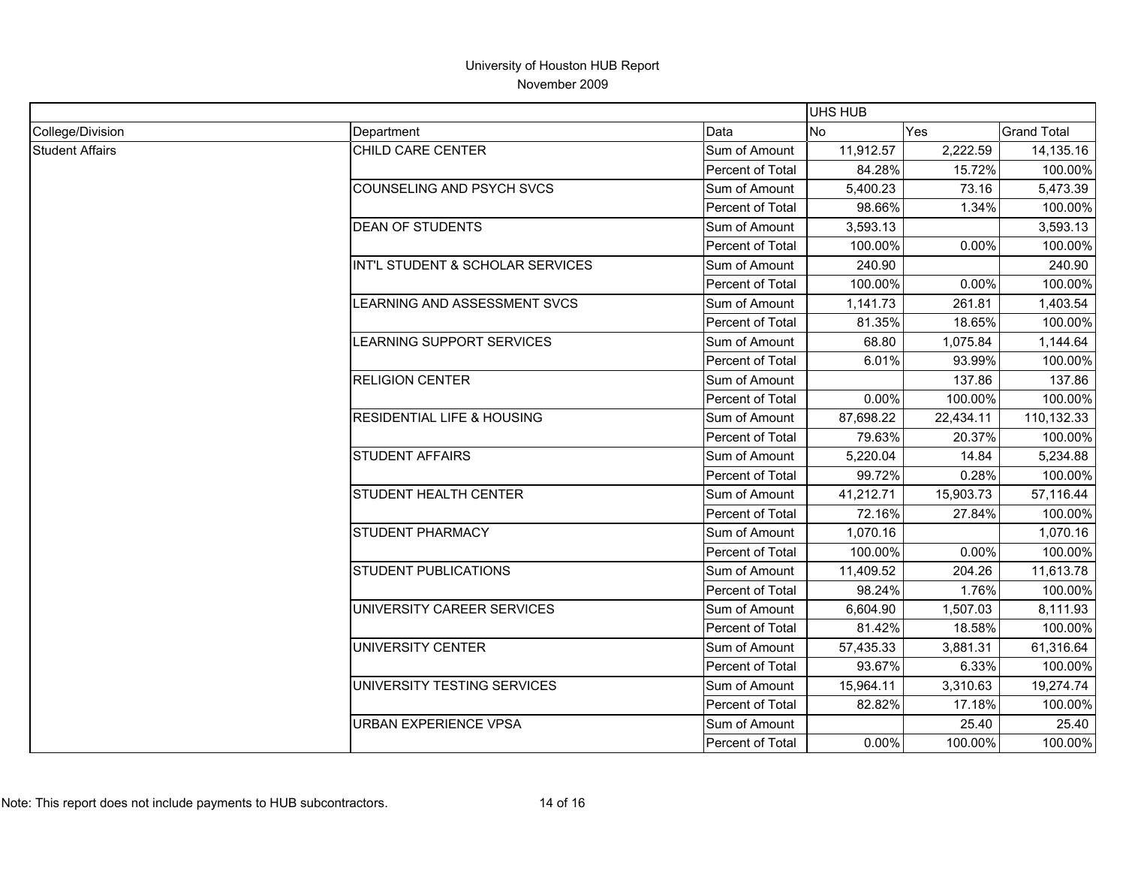|                        |                                       |                  |           | <b>UHS HUB</b> |                    |  |
|------------------------|---------------------------------------|------------------|-----------|----------------|--------------------|--|
| College/Division       | Department                            | Data             | No.       | <b>Yes</b>     | <b>Grand Total</b> |  |
| <b>Student Affairs</b> | CHILD CARE CENTER                     | Sum of Amount    | 11,912.57 | 2,222.59       | 14,135.16          |  |
|                        |                                       | Percent of Total | 84.28%    | 15.72%         | 100.00%            |  |
|                        | COUNSELING AND PSYCH SVCS             | Sum of Amount    | 5,400.23  | 73.16          | 5,473.39           |  |
|                        |                                       | Percent of Total | 98.66%    | 1.34%          | 100.00%            |  |
|                        | <b>DEAN OF STUDENTS</b>               | Sum of Amount    | 3,593.13  |                | 3,593.13           |  |
|                        |                                       | Percent of Total | 100.00%   | 0.00%          | 100.00%            |  |
|                        | INT'L STUDENT & SCHOLAR SERVICES      | Sum of Amount    | 240.90    |                | 240.90             |  |
|                        |                                       | Percent of Total | 100.00%   | 0.00%          | 100.00%            |  |
|                        | LEARNING AND ASSESSMENT SVCS          | Sum of Amount    | 1,141.73  | 261.81         | 1,403.54           |  |
|                        |                                       | Percent of Total | 81.35%    | 18.65%         | 100.00%            |  |
|                        | LEARNING SUPPORT SERVICES             | Sum of Amount    | 68.80     | 1,075.84       | 1,144.64           |  |
|                        |                                       | Percent of Total | 6.01%     | 93.99%         | 100.00%            |  |
|                        | <b>RELIGION CENTER</b>                | Sum of Amount    |           | 137.86         | 137.86             |  |
|                        |                                       | Percent of Total | 0.00%     | 100.00%        | 100.00%            |  |
|                        | <b>RESIDENTIAL LIFE &amp; HOUSING</b> | Sum of Amount    | 87,698.22 | 22,434.11      | 110,132.33         |  |
|                        |                                       | Percent of Total | 79.63%    | 20.37%         | 100.00%            |  |
|                        | <b>STUDENT AFFAIRS</b>                | Sum of Amount    | 5,220.04  | 14.84          | 5,234.88           |  |
|                        |                                       | Percent of Total | 99.72%    | 0.28%          | 100.00%            |  |
|                        | <b>STUDENT HEALTH CENTER</b>          | Sum of Amount    | 41,212.71 | 15,903.73      | 57,116.44          |  |
|                        |                                       | Percent of Total | 72.16%    | 27.84%         | 100.00%            |  |
|                        | <b>STUDENT PHARMACY</b>               | Sum of Amount    | 1,070.16  |                | 1,070.16           |  |
|                        |                                       | Percent of Total | 100.00%   | 0.00%          | 100.00%            |  |
|                        | <b>STUDENT PUBLICATIONS</b>           | Sum of Amount    | 11,409.52 | 204.26         | 11,613.78          |  |
|                        |                                       | Percent of Total | 98.24%    | 1.76%          | 100.00%            |  |
|                        | UNIVERSITY CAREER SERVICES            | Sum of Amount    | 6,604.90  | 1,507.03       | 8,111.93           |  |
|                        |                                       | Percent of Total | 81.42%    | 18.58%         | 100.00%            |  |
|                        | UNIVERSITY CENTER                     | Sum of Amount    | 57,435.33 | 3,881.31       | 61,316.64          |  |
|                        |                                       | Percent of Total | 93.67%    | 6.33%          | 100.00%            |  |
|                        | UNIVERSITY TESTING SERVICES           | Sum of Amount    | 15,964.11 | 3,310.63       | 19,274.74          |  |
|                        |                                       | Percent of Total | 82.82%    | 17.18%         | 100.00%            |  |
|                        | <b>URBAN EXPERIENCE VPSA</b>          | Sum of Amount    |           | 25.40          | 25.40              |  |
|                        |                                       | Percent of Total | 0.00%     | 100.00%        | 100.00%            |  |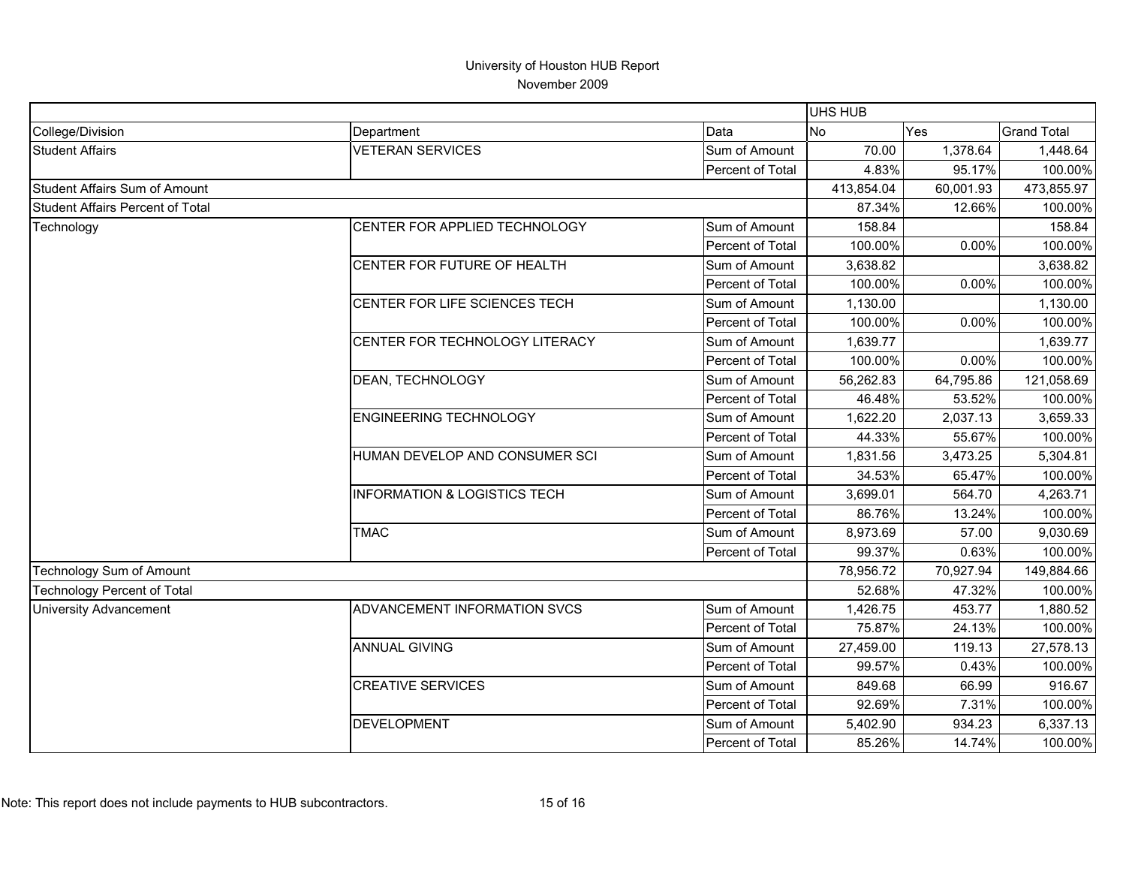|                                         |                                         |                  | UHS HUB   |            |                    |
|-----------------------------------------|-----------------------------------------|------------------|-----------|------------|--------------------|
| College/Division                        | Department                              | Data             | No        | Yes        | <b>Grand Total</b> |
| <b>Student Affairs</b>                  | <b>VETERAN SERVICES</b>                 | Sum of Amount    | 70.00     | 1,378.64   | 1,448.64           |
|                                         |                                         | Percent of Total | 4.83%     | 95.17%     | 100.00%            |
| <b>Student Affairs Sum of Amount</b>    |                                         | 413,854.04       | 60,001.93 | 473,855.97 |                    |
| <b>Student Affairs Percent of Total</b> |                                         |                  | 87.34%    | 12.66%     | 100.00%            |
| Technology                              | CENTER FOR APPLIED TECHNOLOGY           | Sum of Amount    | 158.84    |            | 158.84             |
|                                         |                                         | Percent of Total | 100.00%   | 0.00%      | 100.00%            |
|                                         | CENTER FOR FUTURE OF HEALTH             | Sum of Amount    | 3,638.82  |            | 3,638.82           |
|                                         |                                         | Percent of Total | 100.00%   | 0.00%      | 100.00%            |
|                                         | CENTER FOR LIFE SCIENCES TECH           | Sum of Amount    | 1,130.00  |            | 1,130.00           |
|                                         |                                         | Percent of Total | 100.00%   | 0.00%      | 100.00%            |
|                                         | CENTER FOR TECHNOLOGY LITERACY          | Sum of Amount    | 1,639.77  |            | 1,639.77           |
|                                         |                                         | Percent of Total | 100.00%   | 0.00%      | 100.00%            |
|                                         | DEAN, TECHNOLOGY                        | Sum of Amount    | 56,262.83 | 64,795.86  | 121,058.69         |
|                                         |                                         | Percent of Total | 46.48%    | 53.52%     | 100.00%            |
|                                         | <b>ENGINEERING TECHNOLOGY</b>           | Sum of Amount    | 1,622.20  | 2,037.13   | 3,659.33           |
|                                         |                                         | Percent of Total | 44.33%    | 55.67%     | 100.00%            |
|                                         | HUMAN DEVELOP AND CONSUMER SCI          | Sum of Amount    | 1,831.56  | 3,473.25   | 5,304.81           |
|                                         |                                         | Percent of Total | 34.53%    | 65.47%     | 100.00%            |
|                                         | <b>INFORMATION &amp; LOGISTICS TECH</b> | Sum of Amount    | 3,699.01  | 564.70     | 4,263.71           |
|                                         |                                         | Percent of Total | 86.76%    | 13.24%     | 100.00%            |
|                                         | <b>TMAC</b>                             | Sum of Amount    | 8,973.69  | 57.00      | 9,030.69           |
|                                         |                                         | Percent of Total | 99.37%    | 0.63%      | 100.00%            |
| <b>Technology Sum of Amount</b>         |                                         |                  | 78,956.72 | 70,927.94  | 149,884.66         |
| <b>Technology Percent of Total</b>      |                                         |                  | 52.68%    | 47.32%     | 100.00%            |
| <b>University Advancement</b>           | ADVANCEMENT INFORMATION SVCS            | Sum of Amount    | 1,426.75  | 453.77     | 1,880.52           |
|                                         |                                         | Percent of Total | 75.87%    | 24.13%     | 100.00%            |
|                                         | <b>ANNUAL GIVING</b>                    | Sum of Amount    | 27,459.00 | 119.13     | 27,578.13          |
|                                         |                                         | Percent of Total | 99.57%    | 0.43%      | 100.00%            |
|                                         | <b>CREATIVE SERVICES</b>                | Sum of Amount    | 849.68    | 66.99      | 916.67             |
|                                         |                                         | Percent of Total | 92.69%    | 7.31%      | 100.00%            |
|                                         | <b>DEVELOPMENT</b>                      | Sum of Amount    | 5,402.90  | 934.23     | 6,337.13           |
|                                         |                                         | Percent of Total | 85.26%    | 14.74%     | 100.00%            |